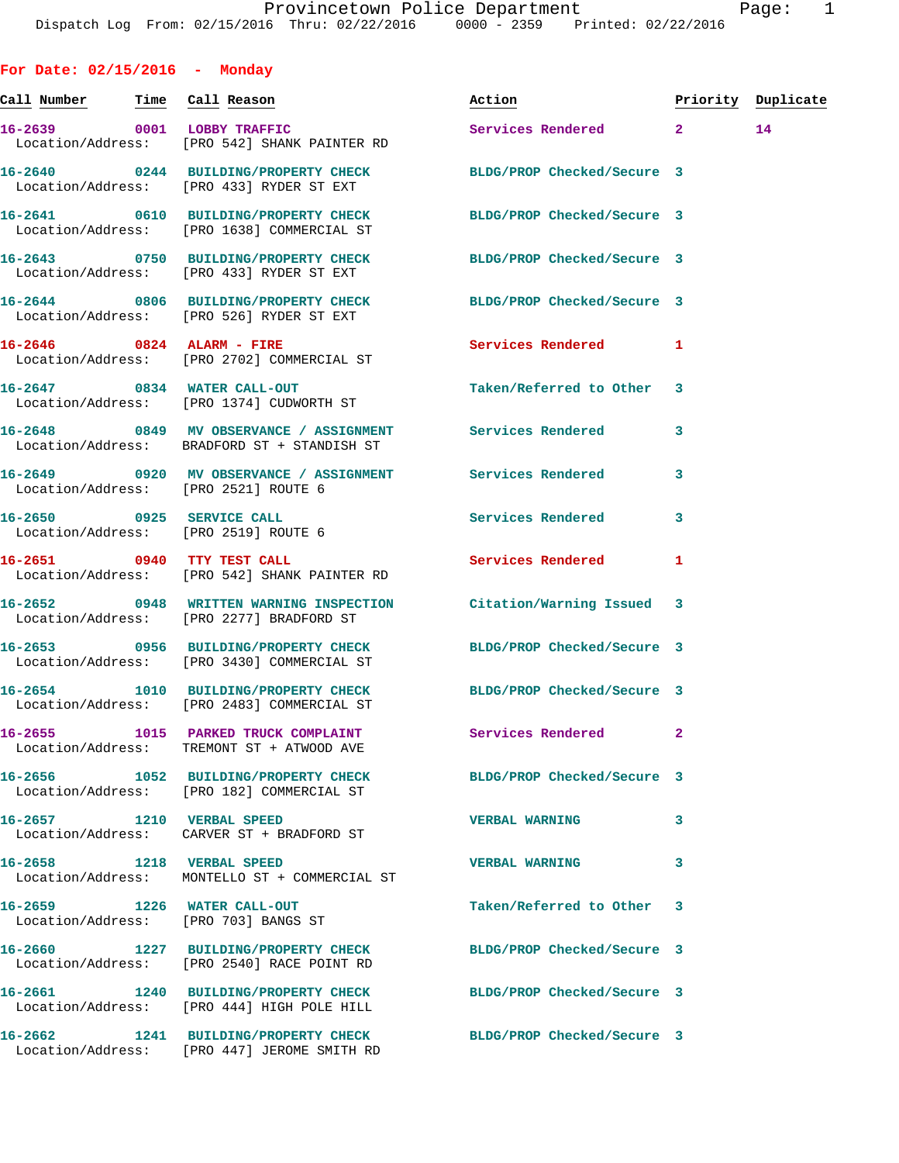**For Date: 02/15/2016 - Monday Call Number Time Call Reason Action Priority Duplicate 16-2639 0001 LOBBY TRAFFIC Services Rendered 2 14**  Location/Address: [PRO 542] SHANK PAINTER RD **16-2640 0244 BUILDING/PROPERTY CHECK BLDG/PROP Checked/Secure 3**  Location/Address: [PRO 433] RYDER ST EXT **16-2641 0610 BUILDING/PROPERTY CHECK BLDG/PROP Checked/Secure 3**  Location/Address: [PRO 1638] COMMERCIAL ST **16-2643 0750 BUILDING/PROPERTY CHECK BLDG/PROP Checked/Secure 3**  Location/Address: [PRO 433] RYDER ST EXT **16-2644 0806 BUILDING/PROPERTY CHECK BLDG/PROP Checked/Secure 3**  Location/Address: [PRO 526] RYDER ST EXT **16-2646 0824 ALARM - FIRE Services Rendered 1**  Location/Address: [PRO 2702] COMMERCIAL ST **16-2647 0834 WATER CALL-OUT Taken/Referred to Other 3**  Location/Address: [PRO 1374] CUDWORTH ST **16-2648 0849 MV OBSERVANCE / ASSIGNMENT Services Rendered 3**  Location/Address: BRADFORD ST + STANDISH ST **16-2649 0920 MV OBSERVANCE / ASSIGNMENT Services Rendered 3**  Location/Address: [PRO 2521] ROUTE 6 **16-2650 0925 SERVICE CALL Services Rendered 3**  Location/Address: [PRO 2519] ROUTE 6 **16-2651 0940 TTY TEST CALL Services Rendered 1**  Location/Address: [PRO 542] SHANK PAINTER RD **16-2652 0948 WRITTEN WARNING INSPECTION Citation/Warning Issued 3**  Location/Address: [PRO 2277] BRADFORD ST **16-2653 0956 BUILDING/PROPERTY CHECK BLDG/PROP Checked/Secure 3**  Location/Address: [PRO 3430] COMMERCIAL ST **16-2654 1010 BUILDING/PROPERTY CHECK BLDG/PROP Checked/Secure 3**  Location/Address: [PRO 2483] COMMERCIAL ST **16-2655 1015 PARKED TRUCK COMPLAINT Services Rendered 2**  Location/Address: TREMONT ST + ATWOOD AVE **16-2656 1052 BUILDING/PROPERTY CHECK BLDG/PROP Checked/Secure 3**  Location/Address: [PRO 182] COMMERCIAL ST **16-2657 1210 VERBAL SPEED VERBAL WARNING 3**  Location/Address: CARVER ST + BRADFORD ST **16-2658 1218 VERBAL SPEED VERBAL WARNING 3**  Location/Address: MONTELLO ST + COMMERCIAL ST **16-2659 1226 WATER CALL-OUT Taken/Referred to Other 3**  Location/Address: [PRO 703] BANGS ST **16-2660 1227 BUILDING/PROPERTY CHECK BLDG/PROP Checked/Secure 3**  Location/Address: [PRO 2540] RACE POINT RD **16-2661 1240 BUILDING/PROPERTY CHECK BLDG/PROP Checked/Secure 3**  Location/Address: [PRO 444] HIGH POLE HILL

**16-2662 1241 BUILDING/PROPERTY CHECK BLDG/PROP Checked/Secure 3**  Location/Address: [PRO 447] JEROME SMITH RD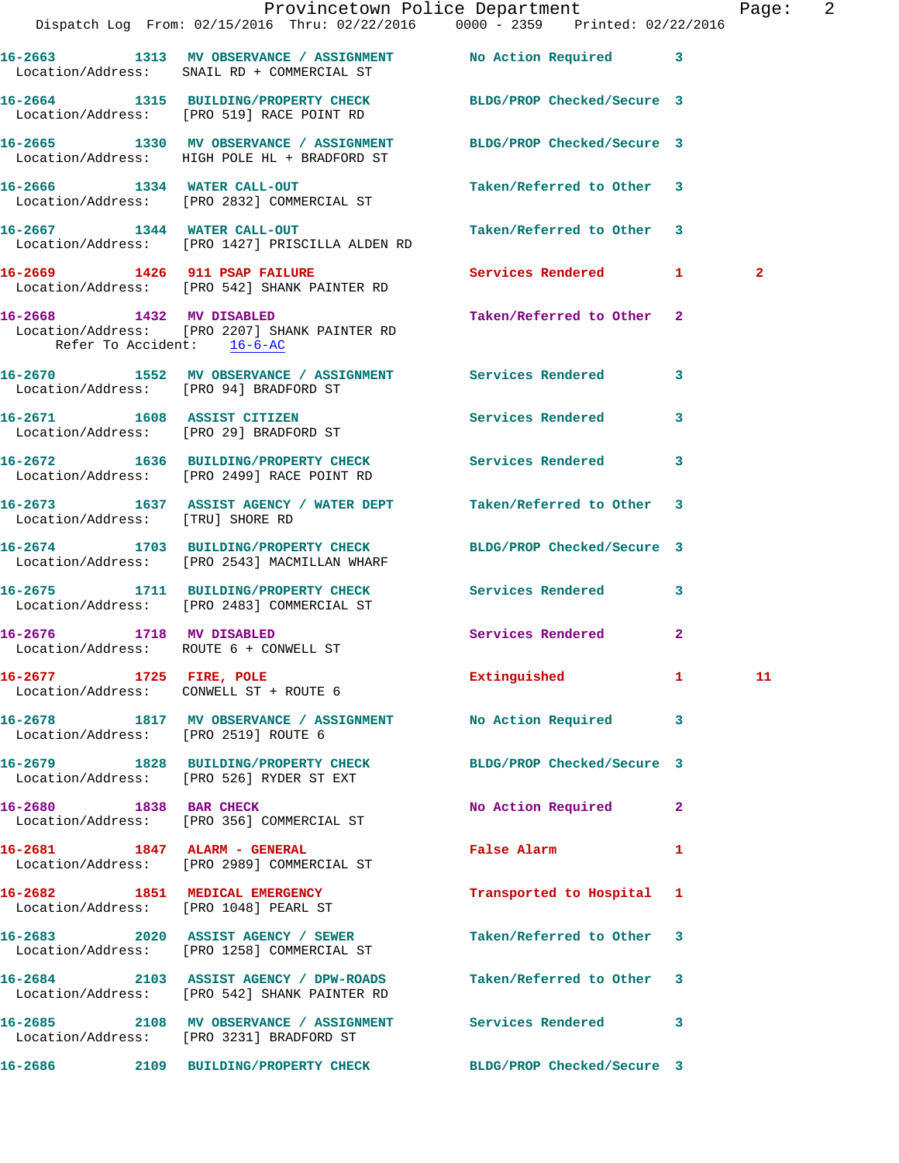|                                                                   | Dispatch Log From: 02/15/2016 Thru: 02/22/2016 0000 - 2359 Printed: 02/22/2016                                     | Provincetown Police Department                      |              | Page: 2      |  |
|-------------------------------------------------------------------|--------------------------------------------------------------------------------------------------------------------|-----------------------------------------------------|--------------|--------------|--|
|                                                                   | 16-2663 1313 MV OBSERVANCE / ASSIGNMENT No Action Required 3<br>Location/Address: SNAIL RD + COMMERCIAL ST         |                                                     |              |              |  |
|                                                                   | 16-2664 1315 BUILDING/PROPERTY CHECK BLDG/PROP Checked/Secure 3<br>Location/Address: [PRO 519] RACE POINT RD       |                                                     |              |              |  |
|                                                                   | 16-2665 1330 MV OBSERVANCE / ASSIGNMENT BLDG/PROP Checked/Secure 3<br>Location/Address: HIGH POLE HL + BRADFORD ST |                                                     |              |              |  |
|                                                                   | 16-2666 1334 WATER CALL-OUT<br>Location/Address: [PRO 2832] COMMERCIAL ST                                          | Taken/Referred to Other 3                           |              |              |  |
|                                                                   | 16-2667 1344 WATER CALL-OUT<br>Location/Address: [PRO 1427] PRISCILLA ALDEN RD                                     | Taken/Referred to Other 3                           |              |              |  |
|                                                                   | 16-2669 1426 911 PSAP FAILURE<br>Location/Address: [PRO 542] SHANK PAINTER RD                                      | Services Rendered 1                                 |              | $\mathbf{2}$ |  |
| Refer To Accident: 16-6-AC                                        | 16-2668 1432 MV DISABLED<br>Location/Address: [PRO 2207] SHANK PAINTER RD                                          | Taken/Referred to Other 2                           |              |              |  |
|                                                                   | 16-2670 1552 MV OBSERVANCE / ASSIGNMENT Services Rendered<br>Location/Address: [PRO 94] BRADFORD ST                |                                                     | 3            |              |  |
|                                                                   | 16-2671 1608 ASSIST CITIZEN<br>Location/Address: [PRO 29] BRADFORD ST                                              | Services Rendered                                   | 3            |              |  |
|                                                                   | 16-2672 1636 BUILDING/PROPERTY CHECK Services Rendered<br>Location/Address: [PRO 2499] RACE POINT RD               |                                                     | 3            |              |  |
| Location/Address: [TRU] SHORE RD                                  | 16-2673 1637 ASSIST AGENCY / WATER DEPT Taken/Referred to Other 3                                                  |                                                     |              |              |  |
|                                                                   | 16-2674 1703 BUILDING/PROPERTY CHECK<br>Location/Address: [PRO 2543] MACMILLAN WHARF                               | BLDG/PROP Checked/Secure 3                          |              |              |  |
|                                                                   | 16-2675 1711 BUILDING/PROPERTY CHECK Services Rendered<br>Location/Address: [PRO 2483] COMMERCIAL ST               |                                                     | 3            |              |  |
|                                                                   | 16-2676 1718 MV DISABLED<br>Location/Address: ROUTE 6 + CONWELL ST                                                 | Services Rendered                                   | $\mathbf{2}$ |              |  |
| 16-2677 1725 FIRE, POLE<br>Location/Address: CONWELL ST + ROUTE 6 |                                                                                                                    | Extinguished 1 11                                   |              |              |  |
| Location/Address: [PRO 2519] ROUTE 6                              | 16-2678 1817 MV OBSERVANCE / ASSIGNMENT No Action Required 3                                                       |                                                     |              |              |  |
|                                                                   | 16-2679 1828 BUILDING/PROPERTY CHECK BLDG/PROP Checked/Secure 3<br>Location/Address: [PRO 526] RYDER ST EXT        |                                                     |              |              |  |
|                                                                   | 16-2680 1838 BAR CHECK<br>Location/Address: [PRO 356] COMMERCIAL ST                                                | No Action Required                                  | $\mathbf{2}$ |              |  |
| 16-2681 1847 ALARM - GENERAL                                      | Location/Address: [PRO 2989] COMMERCIAL ST                                                                         | False Alarm <b>Exercise Service Service Service</b> | 1            |              |  |
|                                                                   | 16-2682 1851 MEDICAL EMERGENCY<br>Location/Address: [PRO 1048] PEARL ST                                            | Transported to Hospital 1                           |              |              |  |
|                                                                   | 16-2683 2020 ASSIST AGENCY / SEWER<br>Location/Address: [PRO 1258] COMMERCIAL ST                                   | Taken/Referred to Other 3                           |              |              |  |
|                                                                   | 16-2684 2103 ASSIST AGENCY / DPW-ROADS<br>Location/Address: [PRO 542] SHANK PAINTER RD                             | Taken/Referred to Other 3                           |              |              |  |
|                                                                   | 16-2685 2108 MV OBSERVANCE / ASSIGNMENT Services Rendered<br>Location/Address: [PRO 3231] BRADFORD ST              |                                                     | 3            |              |  |
| 16-2686                                                           | 2109 BUILDING/PROPERTY CHECK                                                                                       | BLDG/PROP Checked/Secure 3                          |              |              |  |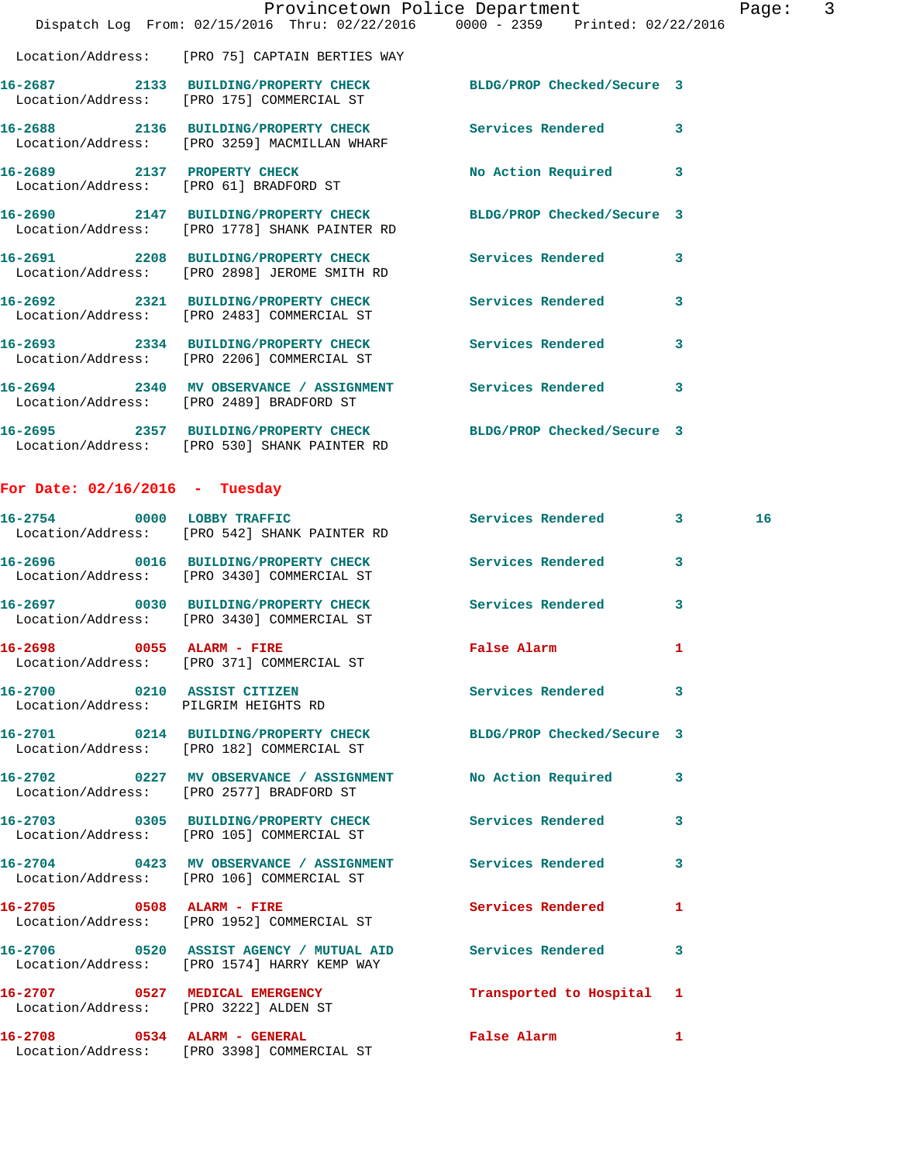|                                        |                                                                                                                  | Provincetown Police Department | $\mathsf{3}$<br>Page:   |
|----------------------------------------|------------------------------------------------------------------------------------------------------------------|--------------------------------|-------------------------|
|                                        | Dispatch Log From: 02/15/2016 Thru: 02/22/2016 0000 - 2359 Printed: 02/22/2016                                   |                                |                         |
|                                        | Location/Address: [PRO 75] CAPTAIN BERTIES WAY                                                                   |                                |                         |
|                                        | 16-2687 2133 BUILDING/PROPERTY CHECK BLDG/PROP Checked/Secure 3<br>Location/Address: [PRO 175] COMMERCIAL ST     |                                |                         |
|                                        | 16-2688 2136 BUILDING/PROPERTY CHECK Services Rendered 3<br>Location/Address: [PRO 3259] MACMILLAN WHARF         |                                |                         |
| Location/Address: [PRO 61] BRADFORD ST | 16-2689 2137 PROPERTY CHECK                                                                                      | No Action Required             | $\overline{\mathbf{3}}$ |
|                                        | 16-2690 2147 BUILDING/PROPERTY CHECK BLDG/PROP Checked/Secure 3<br>Location/Address: [PRO 1778] SHANK PAINTER RD |                                |                         |
|                                        | 16-2691 2208 BUILDING/PROPERTY CHECK Services Rendered<br>Location/Address: [PRO 2898] JEROME SMITH RD           |                                | 3                       |
|                                        | 16-2692 2321 BUILDING/PROPERTY CHECK<br>Location/Address: [PRO 2483] COMMERCIAL ST                               | <b>Services Rendered</b>       | 3                       |
|                                        | 16-2693 2334 BUILDING/PROPERTY CHECK Services Rendered<br>Location/Address: [PRO 2206] COMMERCIAL ST             |                                | 3                       |
|                                        | 16-2694 2340 MV OBSERVANCE / ASSIGNMENT Services Rendered<br>Location/Address: [PRO 2489] BRADFORD ST            |                                | $\overline{\mathbf{3}}$ |
|                                        | 16-2695 2357 BUILDING/PROPERTY CHECK BLDG/PROP Checked/Secure 3<br>Location/Address: [PRO 530] SHANK PAINTER RD  |                                |                         |

## **For Date: 02/16/2016 - Tuesday**

|                                                                     | 16-2754 0000 LOBBY TRAFFIC Services Rendered 3<br>Location/Address: [PRO 542] SHANK PAINTER RD               |                           |              | 16 <sup>1</sup> |
|---------------------------------------------------------------------|--------------------------------------------------------------------------------------------------------------|---------------------------|--------------|-----------------|
|                                                                     | 16-2696  0016 BUILDING/PROPERTY CHECK Services Rendered<br>Location/Address: [PRO 3430] COMMERCIAL ST        |                           | $\mathbf{3}$ |                 |
|                                                                     | 16-2697 0030 BUILDING/PROPERTY CHECK Services Rendered<br>Location/Address: [PRO 3430] COMMERCIAL ST         |                           | 3            |                 |
|                                                                     | 16-2698 0055 ALARM - FIRE<br>Location/Address: [PRO 371] COMMERCIAL ST                                       | False Alarm               | 1            |                 |
| 16-2700 0210 ASSIST CITIZEN<br>Location/Address: PILGRIM HEIGHTS RD |                                                                                                              | Services Rendered         | 3            |                 |
|                                                                     | 16-2701 0214 BUILDING/PROPERTY CHECK BLDG/PROP Checked/Secure 3<br>Location/Address: [PRO 182] COMMERCIAL ST |                           |              |                 |
|                                                                     | 16-2702 0227 MV OBSERVANCE / ASSIGNMENT No Action Required<br>Location/Address: [PRO 2577] BRADFORD ST       |                           | 3            |                 |
|                                                                     | Location/Address: [PRO 105] COMMERCIAL ST                                                                    |                           | 3            |                 |
|                                                                     | 16-2704 0423 MV OBSERVANCE / ASSIGNMENT Services Rendered<br>Location/Address: [PRO 106] COMMERCIAL ST       |                           | 3            |                 |
|                                                                     | 16-2705 0508 ALARM - FIRE<br>Location/Address: [PRO 1952] COMMERCIAL ST                                      | <b>Services Rendered</b>  | 1            |                 |
|                                                                     | 16-2706  0520 ASSIST AGENCY / MUTUAL AID Services Rendered<br>Location/Address: [PRO 1574] HARRY KEMP WAY    |                           | 3            |                 |
| Location/Address: [PRO 3222] ALDEN ST                               | 16-2707 0527 MEDICAL EMERGENCY                                                                               | Transported to Hospital 1 |              |                 |
|                                                                     | 16-2708 0534 ALARM - GENERAL<br>Location/Address: [PRO 3398] COMMERCIAL ST                                   | False Alarm               | 1            |                 |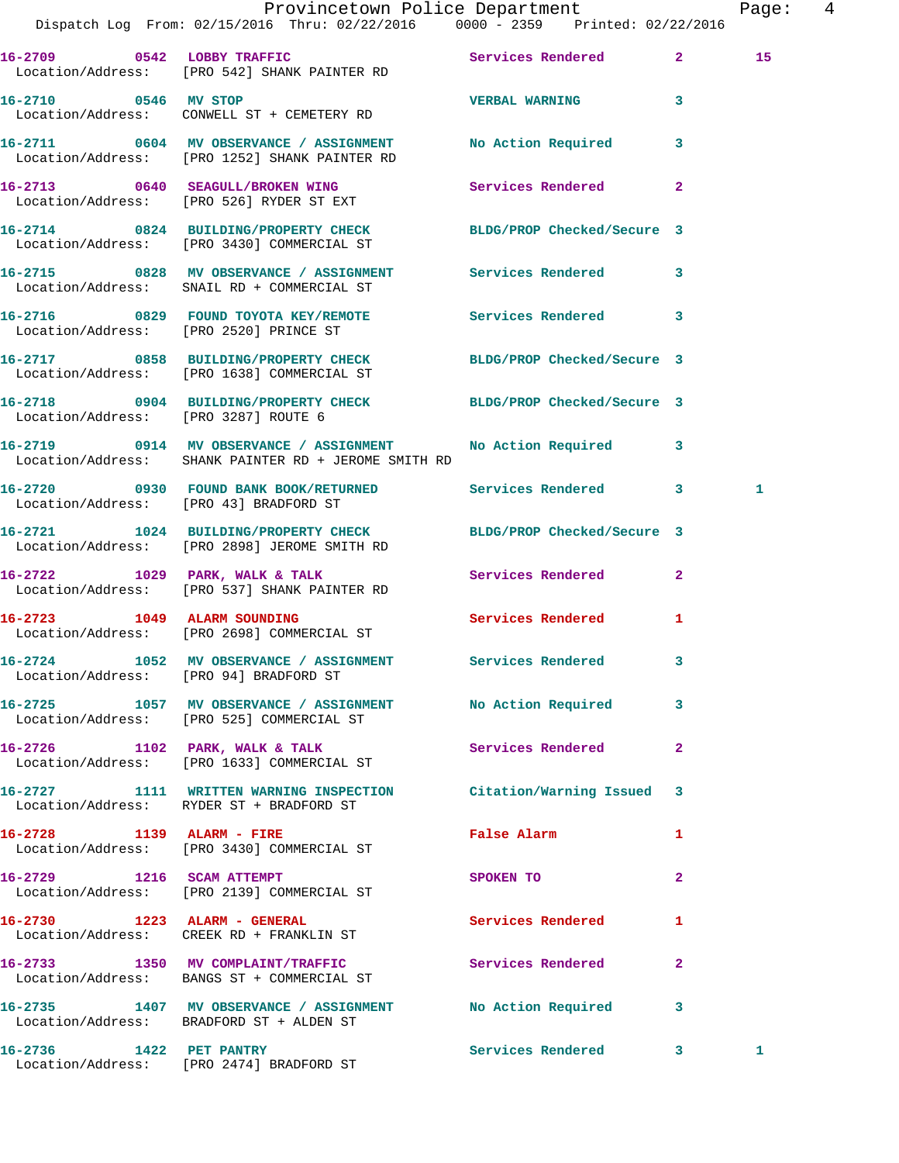|                                        | Dispatch Log From: 02/15/2016 Thru: 02/22/2016 0000 - 2359 Printed: 02/22/2016                                       | Provincetown Police Department |              | Page: | $\overline{4}$ |
|----------------------------------------|----------------------------------------------------------------------------------------------------------------------|--------------------------------|--------------|-------|----------------|
|                                        | 16-2709 0542 LOBBY TRAFFIC Services Rendered 2<br>Location/Address: [PRO 542] SHANK PAINTER RD                       |                                |              | 15    |                |
| 16-2710 0546 MV STOP                   | Location/Address: CONWELL ST + CEMETERY RD                                                                           | VERBAL WARNING                 | $\mathbf{3}$ |       |                |
|                                        | 16-2711 0604 MV OBSERVANCE / ASSIGNMENT No Action Required 3<br>Location/Address: [PRO 1252] SHANK PAINTER RD        |                                |              |       |                |
|                                        | 16-2713 0640 SEAGULL/BROKEN WING Services Rendered 2<br>Location/Address: [PRO 526] RYDER ST EXT                     |                                |              |       |                |
|                                        | 16-2714 0824 BUILDING/PROPERTY CHECK BLDG/PROP Checked/Secure 3<br>Location/Address: [PRO 3430] COMMERCIAL ST        |                                |              |       |                |
|                                        | 16-2715 0828 MV OBSERVANCE / ASSIGNMENT Services Rendered 3<br>Location/Address: SNAIL RD + COMMERCIAL ST            |                                |              |       |                |
|                                        | 16-2716 0829 FOUND TOYOTA KEY/REMOTE Services Rendered 3<br>Location/Address: [PRO 2520] PRINCE ST                   |                                |              |       |                |
|                                        | 16-2717 0858 BUILDING/PROPERTY CHECK<br>Location/Address: [PRO 1638] COMMERCIAL ST                                   | BLDG/PROP Checked/Secure 3     |              |       |                |
| Location/Address: [PRO 3287] ROUTE 6   | 16-2718 0904 BUILDING/PROPERTY CHECK BLDG/PROP Checked/Secure 3                                                      |                                |              |       |                |
|                                        | 16-2719 0914 MV OBSERVANCE / ASSIGNMENT No Action Required 3<br>Location/Address: SHANK PAINTER RD + JEROME SMITH RD |                                |              |       |                |
|                                        | 16-2720 0930 FOUND BANK BOOK/RETURNED Services Rendered 3<br>Location/Address: [PRO 43] BRADFORD ST                  |                                |              | 1     |                |
|                                        | 16-2721 1024 BUILDING/PROPERTY CHECK BLDG/PROP Checked/Secure 3<br>Location/Address: [PRO 2898] JEROME SMITH RD      |                                |              |       |                |
|                                        | 16-2722 1029 PARK, WALK & TALK Services Rendered 2<br>Location/Address: [PRO 537] SHANK PAINTER RD                   |                                |              |       |                |
|                                        | 16-2723 1049 ALARM SOUNDING<br>Location/Address: [PRO 2698] COMMERCIAL ST                                            | Services Rendered 1            |              |       |                |
| Location/Address: [PRO 94] BRADFORD ST | 16-2724 1052 MV OBSERVANCE / ASSIGNMENT Services Rendered                                                            |                                |              |       |                |
|                                        | 16-2725 1057 MV OBSERVANCE / ASSIGNMENT No Action Required 3<br>Location/Address: [PRO 525] COMMERCIAL ST            |                                |              |       |                |
|                                        | 16-2726 1102 PARK, WALK & TALK<br>Location/Address: [PRO 1633] COMMERCIAL ST                                         | Services Rendered              | $\mathbf{2}$ |       |                |
|                                        | 16-2727 1111 WRITTEN WARNING INSPECTION Citation/Warning Issued 3<br>Location/Address: RYDER ST + BRADFORD ST        |                                |              |       |                |
|                                        | 16-2728 1139 ALARM - FIRE<br>Location/Address: [PRO 3430] COMMERCIAL ST                                              | False Alarm                    | 1            |       |                |
|                                        | 16-2729 1216 SCAM ATTEMPT<br>Location/Address: [PRO 2139] COMMERCIAL ST                                              | SPOKEN TO                      | $\mathbf{2}$ |       |                |
|                                        | 16-2730 1223 ALARM - GENERAL<br>Location/Address: CREEK RD + FRANKLIN ST                                             | <b>Services Rendered</b>       | 1            |       |                |
|                                        | 16-2733 1350 MV COMPLAINT/TRAFFIC Services Rendered<br>Location/Address: BANGS ST + COMMERCIAL ST                    |                                | $\mathbf{2}$ |       |                |
|                                        | 16-2735 1407 MV OBSERVANCE / ASSIGNMENT No Action Required 3<br>Location/Address: BRADFORD ST + ALDEN ST             |                                |              |       |                |
|                                        | 16-2736 1422 PET PANTRY<br>Location/Address: [PRO 2474] BRADFORD ST                                                  | Services Rendered 3            |              | 1     |                |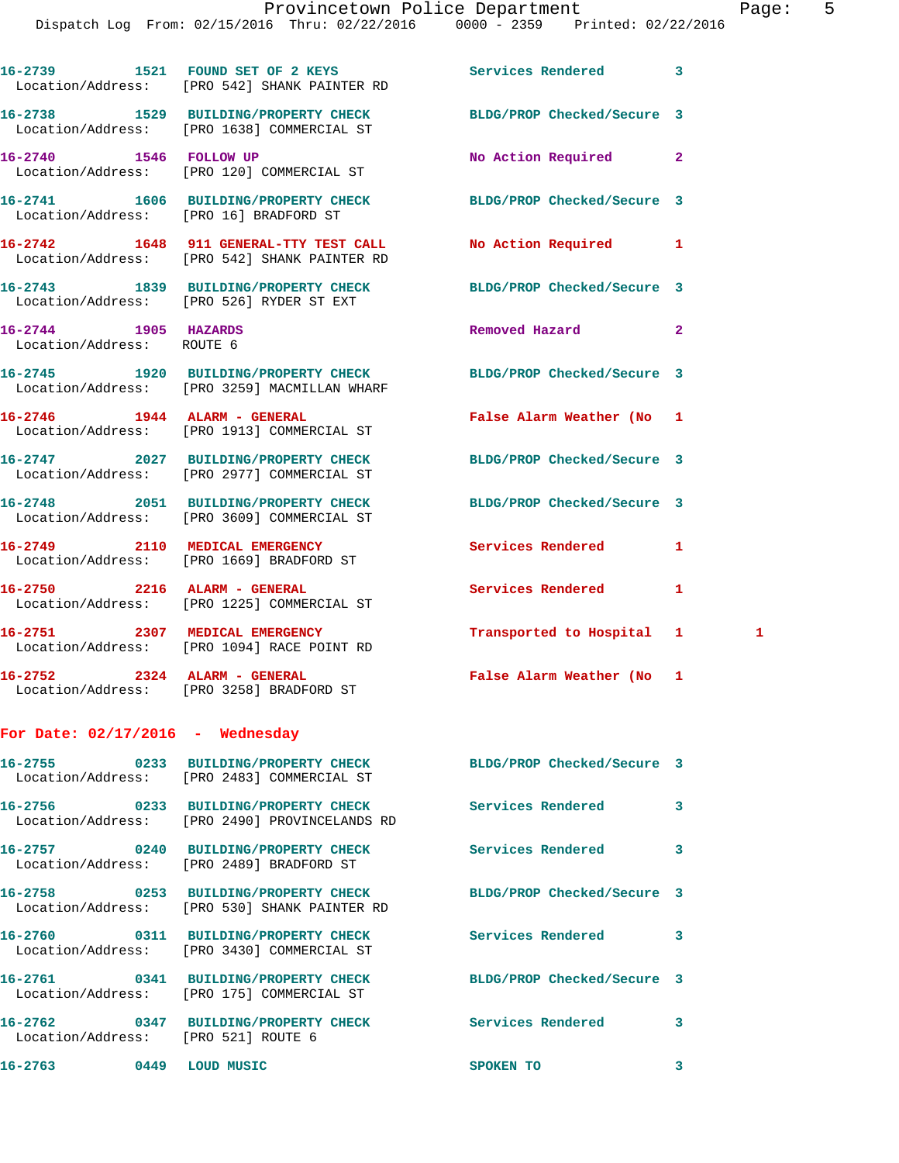|                                                   | 16-2739 1521 FOUND SET OF 2 KEYS<br>Location/Address: [PRO 542] SHANK PAINTER RD                        | <b>Services Rendered</b>   | 3            |   |
|---------------------------------------------------|---------------------------------------------------------------------------------------------------------|----------------------------|--------------|---|
|                                                   | 16-2738 1529 BUILDING/PROPERTY CHECK<br>Location/Address: [PRO 1638] COMMERCIAL ST                      | BLDG/PROP Checked/Secure 3 |              |   |
|                                                   | 16-2740 1546 FOLLOW UP<br>Location/Address: [PRO 120] COMMERCIAL ST                                     | No Action Required         | $\mathbf{2}$ |   |
| Location/Address: [PRO 16] BRADFORD ST            | 16-2741 1606 BUILDING/PROPERTY CHECK                                                                    | BLDG/PROP Checked/Secure 3 |              |   |
|                                                   | 16-2742 1648 911 GENERAL-TTY TEST CALL<br>Location/Address: [PRO 542] SHANK PAINTER RD                  | <b>No Action Required</b>  | 1            |   |
|                                                   | 16-2743 1839 BUILDING/PROPERTY CHECK<br>Location/Address: [PRO 526] RYDER ST EXT                        | BLDG/PROP Checked/Secure 3 |              |   |
| 16-2744 1905 HAZARDS<br>Location/Address: ROUTE 6 |                                                                                                         | Removed Hazard             | $\mathbf{2}$ |   |
|                                                   | 16-2745 1920 BUILDING/PROPERTY CHECK<br>Location/Address: [PRO 3259] MACMILLAN WHARF                    | BLDG/PROP Checked/Secure 3 |              |   |
|                                                   | 16-2746 1944 ALARM - GENERAL<br>Location/Address: [PRO 1913] COMMERCIAL ST                              | False Alarm Weather (No 1  |              |   |
|                                                   | 16-2747 2027 BUILDING/PROPERTY CHECK<br>Location/Address: [PRO 2977] COMMERCIAL ST                      | BLDG/PROP Checked/Secure 3 |              |   |
|                                                   | 16-2748 2051 BUILDING/PROPERTY CHECK<br>Location/Address: [PRO 3609] COMMERCIAL ST                      | BLDG/PROP Checked/Secure 3 |              |   |
| 16-2749 2110 MEDICAL EMERGENCY                    | Location/Address: [PRO 1669] BRADFORD ST                                                                | Services Rendered          | 1            |   |
|                                                   | 16-2750 2216 ALARM - GENERAL<br>Location/Address: [PRO 1225] COMMERCIAL ST                              | Services Rendered          | 1            |   |
|                                                   | 16-2751 2307 MEDICAL EMERGENCY<br>Location/Address: [PRO 1094] RACE POINT RD                            | Transported to Hospital 1  |              | 1 |
|                                                   | 16-2752 2324 ALARM - GENERAL<br>Location/Address: [PRO 3258] BRADFORD ST                                | False Alarm Weather (No 1  |              |   |
| For Date: $02/17/2016$ - Wednesday                |                                                                                                         |                            |              |   |
|                                                   | 16-2755 0233 BUILDING/PROPERTY CHECK<br>Location/Address: [PRO 2483] COMMERCIAL ST                      | BLDG/PROP Checked/Secure 3 |              |   |
|                                                   | 16-2756 0233 BUILDING/PROPERTY CHECK Services Rendered<br>Location/Address: [PRO 2490] PROVINCELANDS RD |                            | 3            |   |
|                                                   | 16-2757 0240 BUILDING/PROPERTY CHECK<br>Location/Address: [PRO 2489] BRADFORD ST                        | Services Rendered          | 3            |   |
|                                                   | 16-2758 0253 BUILDING/PROPERTY CHECK<br>Location/Address: [PRO 530] SHANK PAINTER RD                    | BLDG/PROP Checked/Secure 3 |              |   |
|                                                   | 16-2760 0311 BUILDING/PROPERTY CHECK<br>Location/Address: [PRO 3430] COMMERCIAL ST                      | Services Rendered          | 3            |   |
|                                                   | 16-2761 0341 BUILDING/PROPERTY CHECK<br>Location/Address: [PRO 175] COMMERCIAL ST                       | BLDG/PROP Checked/Secure 3 |              |   |
| Location/Address: [PRO 521] ROUTE 6               | 16-2762 0347 BUILDING/PROPERTY CHECK Services Rendered                                                  |                            | 3            |   |
| 16-2763 0449 LOUD MUSIC                           |                                                                                                         | SPOKEN TO                  | 3            |   |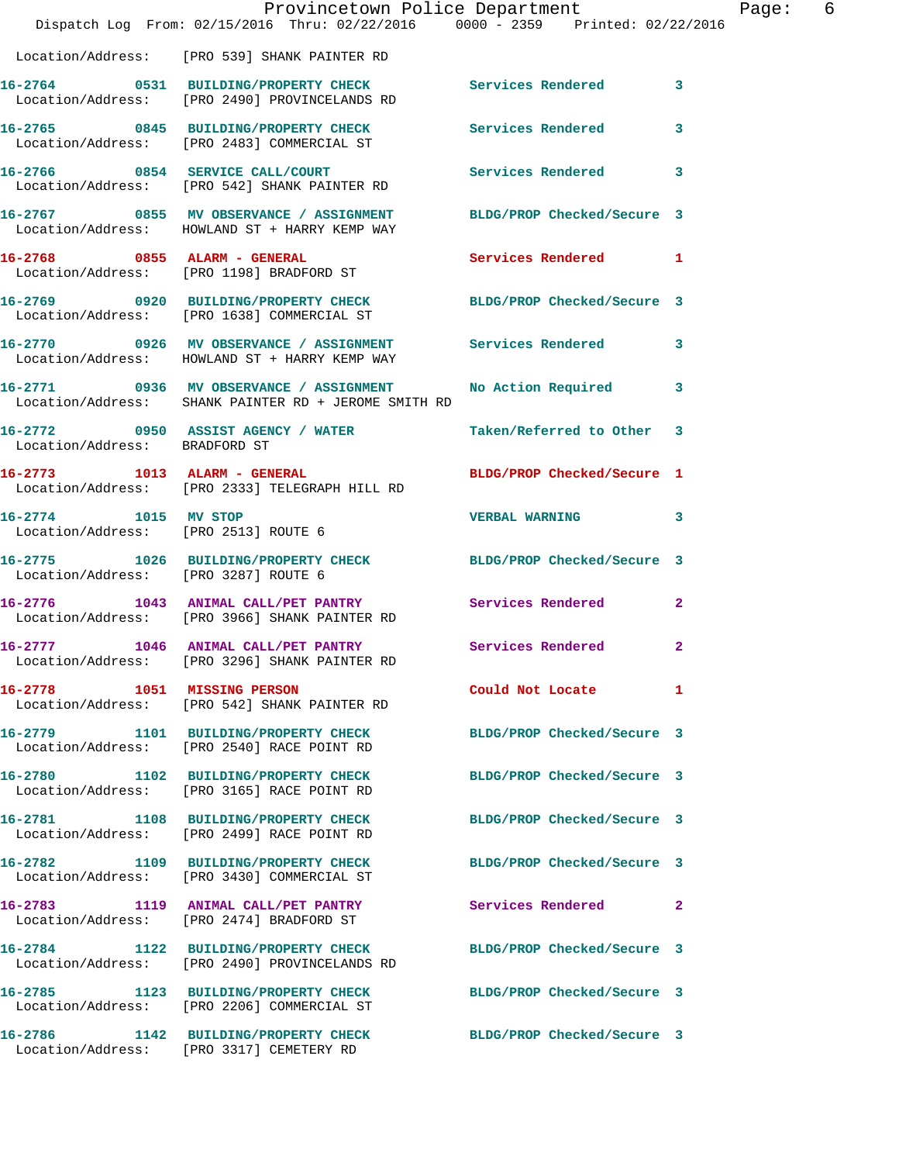|                                                              | Dispatch Log From: 02/15/2016 Thru: 02/22/2016 0000 - 2359 Printed: 02/22/2016                                      | Provincetown Police Department | Page: 6                 |
|--------------------------------------------------------------|---------------------------------------------------------------------------------------------------------------------|--------------------------------|-------------------------|
|                                                              | Location/Address: [PRO 539] SHANK PAINTER RD                                                                        |                                |                         |
|                                                              | 16-2764 0531 BUILDING/PROPERTY CHECK Services Rendered 3<br>Location/Address: [PRO 2490] PROVINCELANDS RD           |                                |                         |
|                                                              | 16-2765 0845 BUILDING/PROPERTY CHECK Services Rendered<br>Location/Address: [PRO 2483] COMMERCIAL ST                |                                | $\overline{\mathbf{3}}$ |
|                                                              | 16-2766 0854 SERVICE CALL/COURT Services Rendered 3<br>Location/Address: [PRO 542] SHANK PAINTER RD                 |                                |                         |
|                                                              | 16-2767 0855 MV OBSERVANCE / ASSIGNMENT BLDG/PROP Checked/Secure 3<br>Location/Address: HOWLAND ST + HARRY KEMP WAY |                                |                         |
|                                                              | 16-2768 0855 ALARM - GENERAL<br>Location/Address: [PRO 1198] BRADFORD ST                                            | Services Rendered 1            |                         |
|                                                              | 16-2769 0920 BUILDING/PROPERTY CHECK BLDG/PROP Checked/Secure 3<br>Location/Address: [PRO 1638] COMMERCIAL ST       |                                |                         |
|                                                              | 16-2770 0926 MV OBSERVANCE / ASSIGNMENT Services Rendered 3<br>Location/Address: HOWLAND ST + HARRY KEMP WAY        |                                |                         |
|                                                              | 16-2771 0936 MV OBSERVANCE / ASSIGNMENT<br>Location/Address: SHANK PAINTER RD + JEROME SMITH RD                     | No Action Required 3           |                         |
| Location/Address: BRADFORD ST                                | 16-2772 0950 ASSIST AGENCY / WATER                                                                                  | Taken/Referred to Other 3      |                         |
|                                                              | 16-2773 1013 ALARM - GENERAL BLDG/PROP Checked/Secure 1<br>Location/Address: [PRO 2333] TELEGRAPH HILL RD           |                                |                         |
| 16-2774 1015 MV STOP<br>Location/Address: [PRO 2513] ROUTE 6 |                                                                                                                     | VERBAL WARNING 3               |                         |
| Location/Address: [PRO 3287] ROUTE 6                         | 1026 BUILDING/PROPERTY CHECK BLDG/PROP Checked/Secure 3                                                             |                                |                         |
|                                                              | 16-2776 1043 ANIMAL CALL/PET PANTRY Services Rendered 2<br>Location/Address: [PRO 3966] SHANK PAINTER RD            |                                |                         |
|                                                              | 16-2777 1046 ANIMAL CALL/PET PANTRY Services Rendered 2<br>Location/Address: [PRO 3296] SHANK PAINTER RD            |                                |                         |
| 16-2778 1051 MISSING PERSON                                  | Location/Address: [PRO 542] SHANK PAINTER RD                                                                        | Could Not Locate               | 1                       |
|                                                              | 16-2779 1101 BUILDING/PROPERTY CHECK<br>Location/Address: [PRO 2540] RACE POINT RD                                  | BLDG/PROP Checked/Secure 3     |                         |
|                                                              | 16-2780 1102 BUILDING/PROPERTY CHECK<br>Location/Address: [PRO 3165] RACE POINT RD                                  | BLDG/PROP Checked/Secure 3     |                         |
|                                                              | 16-2781 1108 BUILDING/PROPERTY CHECK<br>Location/Address: [PRO 2499] RACE POINT RD                                  | BLDG/PROP Checked/Secure 3     |                         |
|                                                              | 16-2782 1109 BUILDING/PROPERTY CHECK<br>Location/Address: [PRO 3430] COMMERCIAL ST                                  | BLDG/PROP Checked/Secure 3     |                         |
|                                                              | 16-2783 1119 ANIMAL CALL/PET PANTRY<br>Location/Address: [PRO 2474] BRADFORD ST                                     | Services Rendered 2            |                         |
|                                                              | 16-2784 1122 BUILDING/PROPERTY CHECK<br>Location/Address: [PRO 2490] PROVINCELANDS RD                               | BLDG/PROP Checked/Secure 3     |                         |
|                                                              | 16-2785 1123 BUILDING/PROPERTY CHECK<br>Location/Address: [PRO 2206] COMMERCIAL ST                                  | BLDG/PROP Checked/Secure 3     |                         |
|                                                              | 16-2786 1142 BUILDING/PROPERTY CHECK BLDG/PROP Checked/Secure 3<br>Location/Address: [PRO 3317] CEMETERY RD         |                                |                         |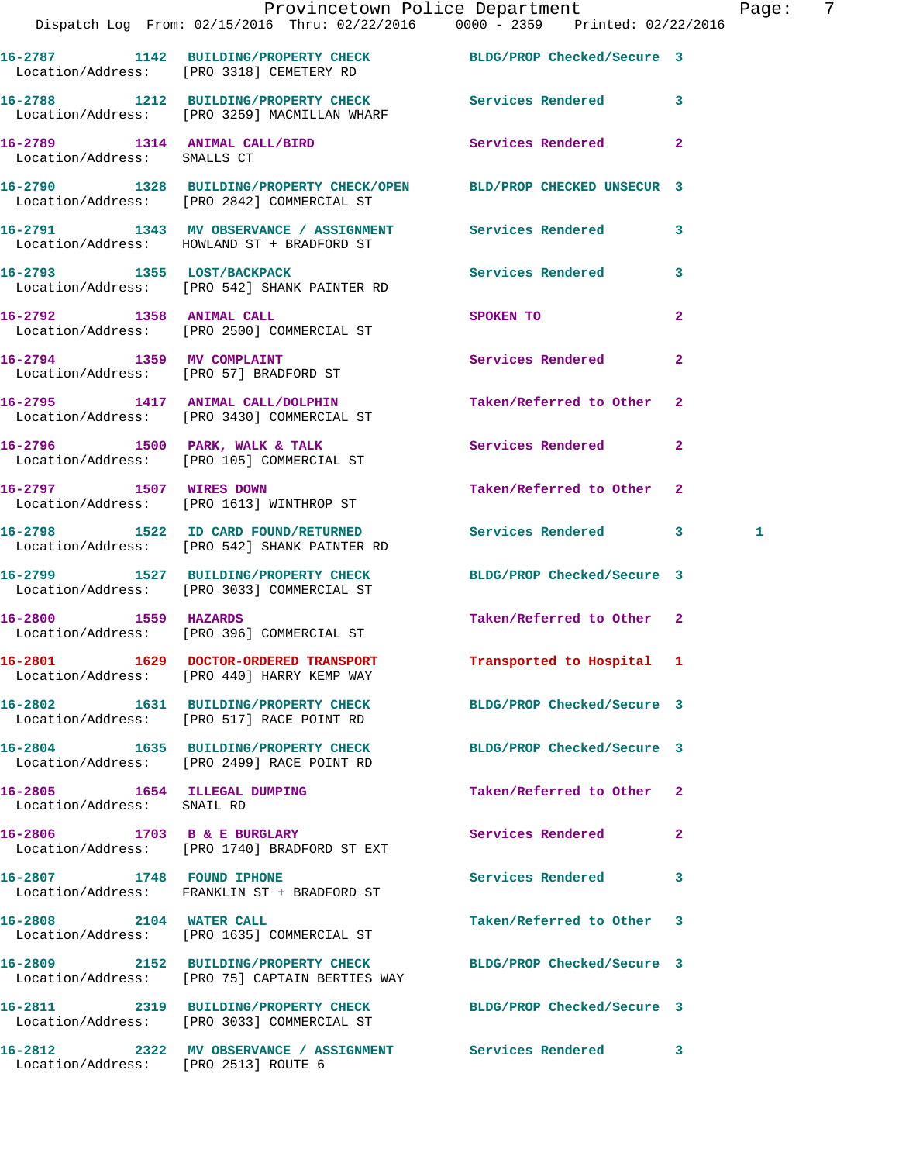|                                                            | Provincetown Police Department<br>Dispatch Log From: 02/15/2016 Thru: 02/22/2016 0000 - 2359 Printed: 02/22/2016   |                            | Pag                 |  |
|------------------------------------------------------------|--------------------------------------------------------------------------------------------------------------------|----------------------------|---------------------|--|
|                                                            | 16-2787 1142 BUILDING/PROPERTY CHECK BLDG/PROP Checked/Secure 3<br>Location/Address: [PRO 3318] CEMETERY RD        |                            |                     |  |
|                                                            | 16-2788 1212 BUILDING/PROPERTY CHECK Services Rendered<br>Location/Address: [PRO 3259] MACMILLAN WHARF             |                            | 3                   |  |
| Location/Address: SMALLS CT                                | 16-2789 1314 ANIMAL CALL/BIRD Services Rendered                                                                    |                            | $\mathbf{2}$        |  |
|                                                            | 16-2790 1328 BUILDING/PROPERTY CHECK/OPEN BLD/PROP CHECKED UNSECUR 3<br>Location/Address: [PRO 2842] COMMERCIAL ST |                            |                     |  |
|                                                            | 16-2791 1343 MV OBSERVANCE / ASSIGNMENT Services Rendered<br>Location/Address: HOWLAND ST + BRADFORD ST            |                            | 3                   |  |
|                                                            | 16-2793 1355 LOST/BACKPACK<br>Location/Address: [PRO 542] SHANK PAINTER RD                                         | Services Rendered          | 3                   |  |
|                                                            | 16-2792 1358 ANIMAL CALL<br>Location/Address: [PRO 2500] COMMERCIAL ST                                             | SPOKEN TO                  | $\overline{a}$      |  |
|                                                            | 16-2794 1359 MV COMPLAINT<br>Location/Address: [PRO 57] BRADFORD ST                                                | Services Rendered          | $\mathbf{2}$        |  |
|                                                            | 16-2795 1417 ANIMAL CALL/DOLPHIN<br>Location/Address: [PRO 3430] COMMERCIAL ST                                     | Taken/Referred to Other    | $\mathbf{2}$        |  |
|                                                            | 16-2796 1500 PARK, WALK & TALK 1988 Services Rendered<br>Location/Address: [PRO 105] COMMERCIAL ST                 |                            | $\mathbf{2}$        |  |
|                                                            | 16-2797 1507 WIRES DOWN<br>Location/Address: [PRO 1613] WINTHROP ST                                                | Taken/Referred to Other    | $\mathbf{2}$        |  |
|                                                            | 16-2798 1522 ID CARD FOUND/RETURNED Services Rendered<br>Location/Address: [PRO 542] SHANK PAINTER RD              |                            | 3 <sup>7</sup><br>1 |  |
|                                                            | 16-2799 1527 BUILDING/PROPERTY CHECK BLDG/PROP Checked/Secure 3<br>Location/Address: [PRO 3033] COMMERCIAL ST      |                            |                     |  |
| 16-2800 1559 HAZARDS                                       | Location/Address: [PRO 396] COMMERCIAL ST                                                                          | Taken/Referred to Other 2  |                     |  |
|                                                            | 16-2801 1629 DOCTOR-ORDERED TRANSPORT<br>Location/Address: [PRO 440] HARRY KEMP WAY                                | Transported to Hospital 1  |                     |  |
|                                                            | 16-2802 1631 BUILDING/PROPERTY CHECK<br>Location/Address: [PRO 517] RACE POINT RD                                  | BLDG/PROP Checked/Secure 3 |                     |  |
|                                                            | 16-2804 1635 BUILDING/PROPERTY CHECK<br>Location/Address: [PRO 2499] RACE POINT RD                                 | BLDG/PROP Checked/Secure 3 |                     |  |
| 16-2805 1654 ILLEGAL DUMPING<br>Location/Address: SNAIL RD |                                                                                                                    | Taken/Referred to Other    | $\mathbf{2}$        |  |
|                                                            | 16-2806 1703 B & E BURGLARY<br>Location/Address: [PRO 1740] BRADFORD ST EXT                                        | Services Rendered          | $\mathbf{2}$        |  |
| 16-2807 1748 FOUND IPHONE                                  | Location/Address: FRANKLIN ST + BRADFORD ST                                                                        | Services Rendered          | 3                   |  |
| 16-2808 2104 WATER CALL                                    | Location/Address: [PRO 1635] COMMERCIAL ST                                                                         | Taken/Referred to Other    | 3                   |  |
|                                                            | 16-2809 2152 BUILDING/PROPERTY CHECK<br>Location/Address: [PRO 75] CAPTAIN BERTIES WAY                             | BLDG/PROP Checked/Secure 3 |                     |  |
|                                                            | 16-2811 2319 BUILDING/PROPERTY CHECK<br>Location/Address: [PRO 3033] COMMERCIAL ST                                 | BLDG/PROP Checked/Secure 3 |                     |  |
|                                                            |                                                                                                                    |                            |                     |  |

**16-2812 2322 MV OBSERVANCE / ASSIGNMENT Services Rendered 3** 

Location/Address: [PRO 2513] ROUTE 6

Page: 7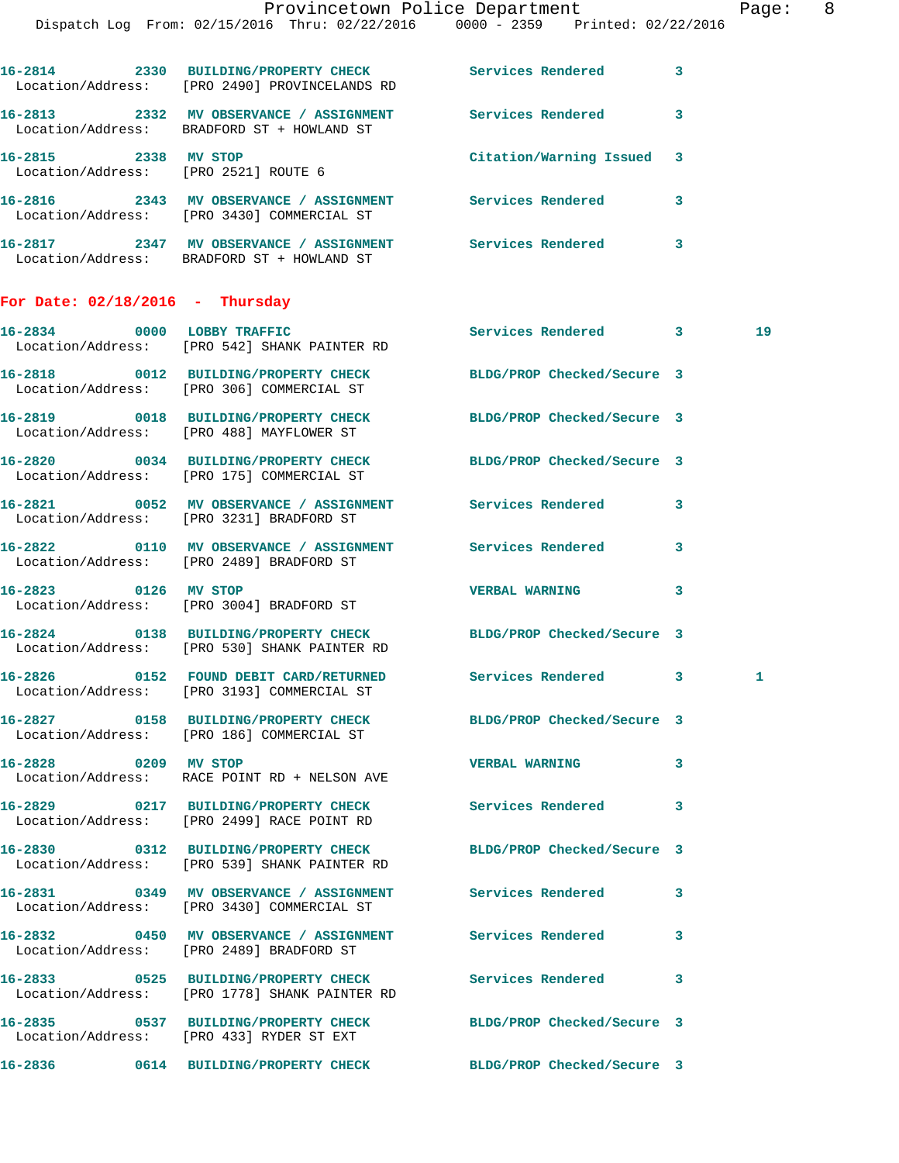|                                                              |                                                                                                       | Provincetown Police Department<br>Dispatch Log From: 02/15/2016 Thru: 02/22/2016 0000 - 2359 Printed: 02/22/2016 |              | Page |
|--------------------------------------------------------------|-------------------------------------------------------------------------------------------------------|------------------------------------------------------------------------------------------------------------------|--------------|------|
|                                                              | Location/Address: [PRO 2490] PROVINCELANDS RD                                                         | 16-2814 2330 BUILDING/PROPERTY CHECK Services Rendered 3                                                         |              |      |
|                                                              | Location/Address: BRADFORD ST + HOWLAND ST                                                            | 16-2813 2332 MV OBSERVANCE / ASSIGNMENT Services Rendered 3                                                      |              |      |
| 16-2815 2338 MV STOP<br>Location/Address: [PRO 2521] ROUTE 6 |                                                                                                       | Citation/Warning Issued                                                                                          | 3            |      |
|                                                              | Location/Address: [PRO 3430] COMMERCIAL ST                                                            | 16-2816 2343 MV OBSERVANCE / ASSIGNMENT Services Rendered 3                                                      |              |      |
|                                                              | Location/Address: BRADFORD ST + HOWLAND ST                                                            | 16-2817 		 2347 MV OBSERVANCE / ASSIGNMENT Services Rendered                                                     | 3            |      |
| For Date: $02/18/2016$ - Thursday                            |                                                                                                       |                                                                                                                  |              |      |
|                                                              | 16-2834 0000 LOBBY TRAFFIC<br>Location/Address: [PRO 542] SHANK PAINTER RD                            | Services Rendered 3                                                                                              |              | 19   |
|                                                              | Location/Address: [PRO 306] COMMERCIAL ST                                                             | 16-2818 0012 BUILDING/PROPERTY CHECK BLDG/PROP Checked/Secure 3                                                  |              |      |
|                                                              |                                                                                                       | 16-2819 0018 BUILDING/PROPERTY CHECK BLDG/PROP Checked/Secure 3<br>Location/Address: [PRO 488] MAYFLOWER ST      |              |      |
|                                                              | Location/Address: [PRO 175] COMMERCIAL ST                                                             | 16-2820 0034 BUILDING/PROPERTY CHECK BLDG/PROP Checked/Secure 3                                                  |              |      |
|                                                              | Location/Address: [PRO 3231] BRADFORD ST                                                              | 16-2821 0052 MV OBSERVANCE / ASSIGNMENT Services Rendered                                                        | $\mathbf{3}$ |      |
|                                                              | Location/Address: [PRO 2489] BRADFORD ST                                                              | 16-2822 0110 MV OBSERVANCE / ASSIGNMENT Services Rendered                                                        | 3            |      |
| 16-2823 0126 MV STOP                                         | Location/Address: [PRO 3004] BRADFORD ST                                                              | <b>VERBAL WARNING</b>                                                                                            | 3            |      |
|                                                              | Location/Address: [PRO 530] SHANK PAINTER RD                                                          | 16-2824 0138 BUILDING/PROPERTY CHECK BLDG/PROP Checked/Secure 3                                                  |              |      |
|                                                              | Location/Address: [PRO 3193] COMMERCIAL ST                                                            | 16-2826 		 0152 FOUND DEBIT CARD/RETURNED Services Rendered 3                                                    |              | 1    |
|                                                              | Location/Address: [PRO 186] COMMERCIAL ST                                                             | 16-2827 0158 BUILDING/PROPERTY CHECK BLDG/PROP Checked/Secure 3                                                  |              |      |
| 16-2828 0209 MV STOP                                         | Location/Address: RACE POINT RD + NELSON AVE                                                          | <b>VERBAL WARNING</b>                                                                                            | 3            |      |
|                                                              | 16-2829 0217 BUILDING/PROPERTY CHECK<br>Location/Address: [PRO 2499] RACE POINT RD                    | Services Rendered                                                                                                | 3            |      |
|                                                              | 16-2830 0312 BUILDING/PROPERTY CHECK<br>Location/Address: [PRO 539] SHANK PAINTER RD                  | BLDG/PROP Checked/Secure 3                                                                                       |              |      |
|                                                              | Location/Address: [PRO 3430] COMMERCIAL ST                                                            | 16-2831 0349 MV OBSERVANCE / ASSIGNMENT Services Rendered                                                        | 3            |      |
|                                                              | 16-2832 6450 MV OBSERVANCE / ASSIGNMENT Services Rendered<br>Location/Address: [PRO 2489] BRADFORD ST |                                                                                                                  | 3            |      |
|                                                              | 16-2833 0525 BUILDING/PROPERTY CHECK<br>Location/Address: [PRO 1778] SHANK PAINTER RD                 | <b>Services Rendered</b>                                                                                         | 3            |      |
|                                                              | 16-2835 0537 BUILDING/PROPERTY CHECK<br>Location/Address: [PRO 433] RYDER ST EXT                      | BLDG/PROP Checked/Secure 3                                                                                       |              |      |

**16-2836 0614 BUILDING/PROPERTY CHECK BLDG/PROP Checked/Secure 3**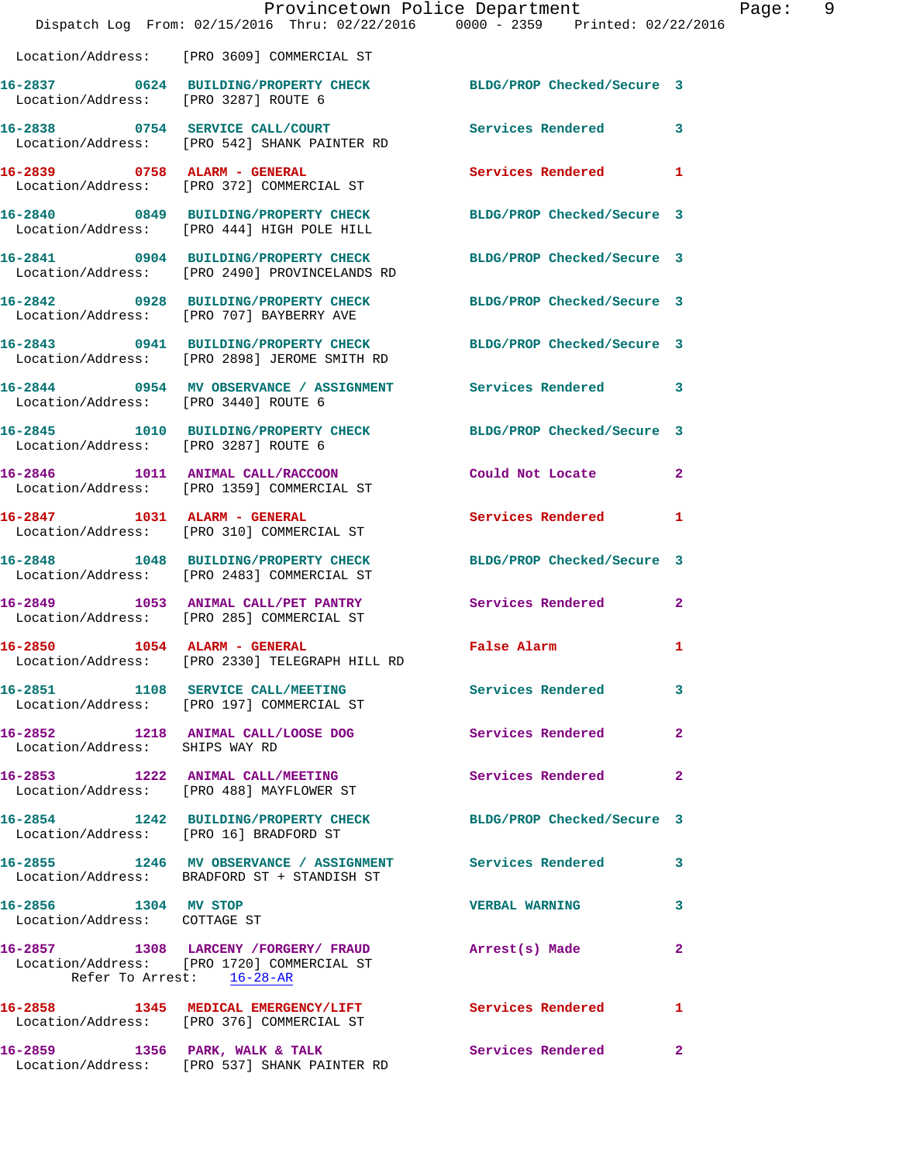|                                                      | Provincetown Police Department                                                                                                   |                            |                |
|------------------------------------------------------|----------------------------------------------------------------------------------------------------------------------------------|----------------------------|----------------|
|                                                      | Dispatch Log From: 02/15/2016 Thru: 02/22/2016 0000 - 2359 Printed: 02/22/2016                                                   |                            |                |
|                                                      | Location/Address: [PRO 3609] COMMERCIAL ST                                                                                       |                            |                |
| Location/Address: [PRO 3287] ROUTE 6                 | 16-2837 0624 BUILDING/PROPERTY CHECK                                                                                             | BLDG/PROP Checked/Secure 3 |                |
|                                                      | 16-2838 0754 SERVICE CALL/COURT<br>Location/Address: [PRO 542] SHANK PAINTER RD                                                  | <b>Services Rendered</b>   | 3              |
| 16-2839 0758 ALARM - GENERAL                         | Location/Address: [PRO 372] COMMERCIAL ST                                                                                        | <b>Services Rendered</b>   | 1              |
|                                                      | 16-2840 0849 BUILDING/PROPERTY CHECK<br>Location/Address: [PRO 444] HIGH POLE HILL                                               | BLDG/PROP Checked/Secure 3 |                |
|                                                      | 16-2841 0904 BUILDING/PROPERTY CHECK BLDG/PROP Checked/Secure 3<br>Location/Address: [PRO 2490] PROVINCELANDS RD                 |                            |                |
|                                                      | 16-2842 0928 BUILDING/PROPERTY CHECK<br>Location/Address: [PRO 707] BAYBERRY AVE                                                 | BLDG/PROP Checked/Secure 3 |                |
|                                                      | 16-2843 0941 BUILDING/PROPERTY CHECK<br>Location/Address: [PRO 2898] JEROME SMITH RD                                             | BLDG/PROP Checked/Secure 3 |                |
| Location/Address: [PRO 3440] ROUTE 6                 | 16-2844 0954 MV OBSERVANCE / ASSIGNMENT Services Rendered                                                                        |                            | 3              |
| Location/Address: [PRO 3287] ROUTE 6                 | 16-2845 1010 BUILDING/PROPERTY CHECK BLDG/PROP Checked/Secure 3                                                                  |                            |                |
|                                                      | 16-2846 1011 ANIMAL CALL/RACCOON<br>Location/Address: [PRO 1359] COMMERCIAL ST                                                   | Could Not Locate           | $\overline{2}$ |
|                                                      | 16-2847 1031 ALARM - GENERAL<br>Location/Address: [PRO 310] COMMERCIAL ST                                                        | <b>Services Rendered</b>   | 1              |
|                                                      | 16-2848 1048 BUILDING/PROPERTY CHECK BLDG/PROP Checked/Secure 3<br>Location/Address: [PRO 2483] COMMERCIAL ST                    |                            |                |
|                                                      | 16-2849 1053 ANIMAL CALL/PET PANTRY<br>Location/Address: [PRO 285] COMMERCIAL ST                                                 | Services Rendered          | $\mathbf{2}$   |
| 16-2850                                              | 1054 ALARM - GENERAL<br>Location/Address: [PRO 2330] TELEGRAPH HILL RD                                                           | False Alarm                | 1              |
|                                                      | 16-2851 1108 SERVICE CALL/MEETING Services Rendered<br>Location/Address: [PRO 197] COMMERCIAL ST                                 |                            | 3              |
| Location/Address: SHIPS WAY RD                       | 16-2852 1218 ANIMAL CALL/LOOSE DOG                                                                                               | Services Rendered          | $\mathbf{2}$   |
|                                                      | 16-2853 1222 ANIMAL CALL/MEETING<br>Location/Address: [PRO 488] MAYFLOWER ST                                                     | <b>Services Rendered</b>   | 2              |
|                                                      | 16-2854 1242 BUILDING/PROPERTY CHECK<br>Location/Address: [PRO 16] BRADFORD ST                                                   | BLDG/PROP Checked/Secure 3 |                |
|                                                      | 16-2855 1246 MV OBSERVANCE / ASSIGNMENT Services Rendered<br>Location/Address: BRADFORD ST + STANDISH ST                         |                            | 3              |
| 16-2856 1304 MV STOP<br>Location/Address: COTTAGE ST |                                                                                                                                  | <b>VERBAL WARNING</b>      | 3              |
|                                                      | 16-2857 1308 LARCENY / FORGERY / FRAUD Arrest(s) Made<br>Location/Address: [PRO 1720] COMMERCIAL ST<br>Refer To Arrest: 16-28-AR |                            | 2              |
|                                                      | 16-2858 1345 MEDICAL EMERGENCY/LIFT Services Rendered<br>Location/Address: [PRO 376] COMMERCIAL ST                               |                            | 1              |
|                                                      | 16-2859 1356 PARK, WALK & TALK<br>Location/Address: [PRO 537] SHANK PAINTER RD                                                   | Services Rendered          | 2              |

Page: 9<br>6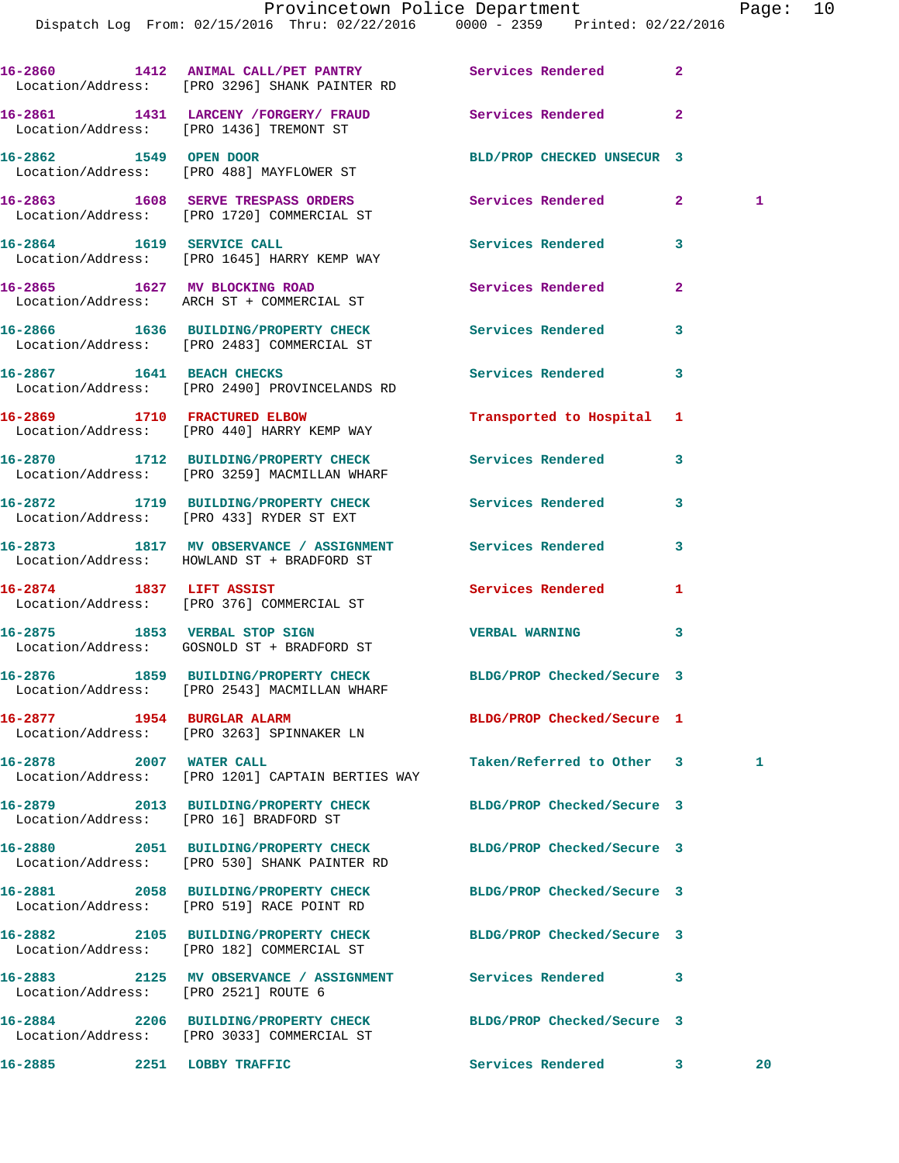|                            | 16-2860 1412 ANIMAL CALL/PET PANTRY Services Rendered<br>Location/Address: [PRO 3296] SHANK PAINTER RD          |                            | $\mathbf{2}$ |    |
|----------------------------|-----------------------------------------------------------------------------------------------------------------|----------------------------|--------------|----|
|                            | 16-2861 1431 LARCENY / FORGERY / FRAUD<br>Location/Address: [PRO 1436] TREMONT ST                               | Services Rendered          | $\mathbf{2}$ |    |
|                            | 16-2862 1549 OPEN DOOR<br>Location/Address: [PRO 488] MAYFLOWER ST                                              | BLD/PROP CHECKED UNSECUR 3 |              |    |
|                            | 16-2863 1608 SERVE TRESPASS ORDERS<br>Location/Address: [PRO 1720] COMMERCIAL ST                                | Services Rendered          | $\mathbf{2}$ | 1  |
|                            | 16-2864 1619 SERVICE CALL<br>Location/Address: [PRO 1645] HARRY KEMP WAY                                        | <b>Services Rendered</b>   | 3            |    |
|                            | 16-2865 1627 MV BLOCKING ROAD<br>Location/Address: ARCH ST + COMMERCIAL ST                                      | Services Rendered          | $\mathbf{2}$ |    |
|                            | 16-2866 1636 BUILDING/PROPERTY CHECK<br>Location/Address: [PRO 2483] COMMERCIAL ST                              | Services Rendered          | 3            |    |
| 16-2867 1641 BEACH CHECKS  | Location/Address: [PRO 2490] PROVINCELANDS RD                                                                   | Services Rendered          | 3            |    |
|                            | 16-2869 1710 FRACTURED ELBOW<br>Location/Address: [PRO 440] HARRY KEMP WAY                                      | Transported to Hospital 1  |              |    |
|                            | 16-2870 1712 BUILDING/PROPERTY CHECK<br>Location/Address: [PRO 3259] MACMILLAN WHARF                            | <b>Services Rendered</b>   | 3            |    |
|                            | 16-2872 1719 BUILDING/PROPERTY CHECK<br>Location/Address: [PRO 433] RYDER ST EXT                                | <b>Services Rendered</b>   | 3            |    |
|                            | 16-2873 1817 MV OBSERVANCE / ASSIGNMENT<br>Location/Address: HOWLAND ST + BRADFORD ST                           | Services Rendered          | 3            |    |
|                            | 16-2874 1837 LIFT ASSIST<br>Location/Address: [PRO 376] COMMERCIAL ST                                           | Services Rendered          | 1            |    |
|                            | 16-2875 1853 VERBAL STOP SIGN<br>Location/Address: GOSNOLD ST + BRADFORD ST                                     | <b>VERBAL WARNING</b>      | 3            |    |
|                            | 16-2876 1859 BUILDING/PROPERTY CHECK BLDG/PROP Checked/Secure 3<br>Location/Address: [PRO 2543] MACMILLAN WHARF |                            |              |    |
| 16-2877 1954 BURGLAR ALARM | Location/Address: [PRO 3263] SPINNAKER LN                                                                       | BLDG/PROP Checked/Secure 1 |              |    |
| 16-2878 2007 WATER CALL    | Location/Address: [PRO 1201] CAPTAIN BERTIES WAY                                                                | Taken/Referred to Other 3  |              | 1  |
|                            | 16-2879 2013 BUILDING/PROPERTY CHECK<br>Location/Address: [PRO 16] BRADFORD ST                                  | BLDG/PROP Checked/Secure 3 |              |    |
|                            | 16-2880 2051 BUILDING/PROPERTY CHECK<br>Location/Address: [PRO 530] SHANK PAINTER RD                            | BLDG/PROP Checked/Secure 3 |              |    |
|                            | 16-2881 2058 BUILDING/PROPERTY CHECK<br>Location/Address: [PRO 519] RACE POINT RD                               | BLDG/PROP Checked/Secure 3 |              |    |
|                            | 16-2882 2105 BUILDING/PROPERTY CHECK<br>Location/Address: [PRO 182] COMMERCIAL ST                               | BLDG/PROP Checked/Secure 3 |              |    |
|                            | 16-2883 2125 MV OBSERVANCE / ASSIGNMENT<br>Location/Address: [PRO 2521] ROUTE 6                                 | Services Rendered          | 3            |    |
|                            | 16-2884 2206 BUILDING/PROPERTY CHECK<br>Location/Address: [PRO 3033] COMMERCIAL ST                              | BLDG/PROP Checked/Secure 3 |              |    |
| 16-2885 2251 LOBBY TRAFFIC |                                                                                                                 | Services Rendered 3        |              | 20 |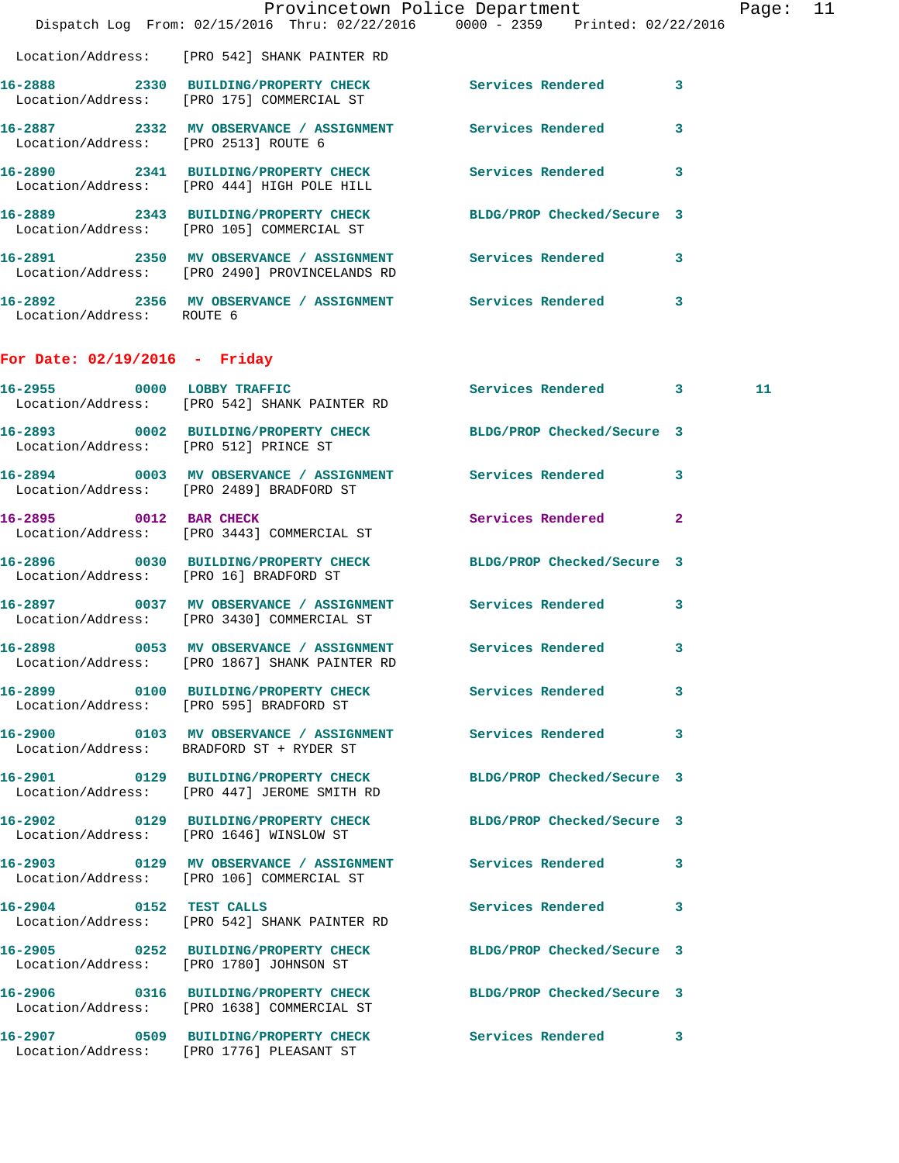|                                       | Dispatch Log From: 02/15/2016 Thru: 02/22/2016 0000 - 2359 Printed: 02/22/2016                                 | Provincetown Police Department | Page: 11 |  |
|---------------------------------------|----------------------------------------------------------------------------------------------------------------|--------------------------------|----------|--|
|                                       |                                                                                                                |                                |          |  |
|                                       | Location/Address: [PRO 542] SHANK PAINTER RD                                                                   |                                |          |  |
|                                       | 16-2888 2330 BUILDING/PROPERTY CHECK Services Rendered 3<br>Location/Address: [PRO 175] COMMERCIAL ST          |                                |          |  |
| Location/Address: [PRO 2513] ROUTE 6  | 16-2887 			 2332 MV OBSERVANCE / ASSIGNMENT Services Rendered 3                                                |                                |          |  |
|                                       | 16-2890 2341 BUILDING/PROPERTY CHECK Services Rendered 3<br>Location/Address: [PRO 444] HIGH POLE HILL         |                                |          |  |
|                                       | 16-2889 2343 BUILDING/PROPERTY CHECK BLDG/PROP Checked/Secure 3<br>Location/Address: [PRO 105] COMMERCIAL ST   |                                |          |  |
|                                       | 16-2891 2350 MV OBSERVANCE / ASSIGNMENT Services Rendered 3<br>Location/Address: [PRO 2490] PROVINCELANDS RD   |                                |          |  |
| Location/Address: ROUTE 6             | 16-2892 2356 MV OBSERVANCE / ASSIGNMENT Services Rendered 3                                                    |                                |          |  |
| For Date: $02/19/2016$ - Friday       |                                                                                                                |                                |          |  |
|                                       | 16-2955 0000 LOBBY TRAFFIC<br>Location/Address: [PRO 542] SHANK PAINTER RD                                     | Services Rendered 3            | 11       |  |
| Location/Address: [PRO 512] PRINCE ST | 16-2893 0002 BUILDING/PROPERTY CHECK BLDG/PROP Checked/Secure 3                                                |                                |          |  |
|                                       | 16-2894 0003 MV OBSERVANCE / ASSIGNMENT Services Rendered 3<br>Location/Address: [PRO 2489] BRADFORD ST        |                                |          |  |
|                                       | 16-2895 0012 BAR CHECK<br>Location/Address: [PRO 3443] COMMERCIAL ST                                           | Services Rendered 2            |          |  |
|                                       | 16-2896 0030 BUILDING/PROPERTY CHECK BLDG/PROP Checked/Secure 3<br>Location/Address: [PRO 16] BRADFORD ST      |                                |          |  |
|                                       | 16-2897 0037 MV OBSERVANCE / ASSIGNMENT Services Rendered 3<br>Location/Address: [PRO 3430] COMMERCIAL ST      |                                |          |  |
| 16-2898                               | 0053 MV OBSERVANCE / ASSIGNMENT Services Rendered 3<br>Location/Address: [PRO 1867] SHANK PAINTER RD           |                                |          |  |
|                                       | 16-2899 		 0100 BUILDING/PROPERTY CHECK Services Rendered 3<br>Location/Address: [PRO 595] BRADFORD ST         |                                |          |  |
|                                       | 16-2900 0103 MV OBSERVANCE / ASSIGNMENT Services Rendered 3<br>Location/Address: BRADFORD ST + RYDER ST        |                                |          |  |
|                                       | 16-2901 0129 BUILDING/PROPERTY CHECK BLDG/PROP Checked/Secure 3<br>Location/Address: [PRO 447] JEROME SMITH RD |                                |          |  |
|                                       | 16-2902 0129 BUILDING/PROPERTY CHECK BLDG/PROP Checked/Secure 3<br>Location/Address: [PRO 1646] WINSLOW ST     |                                |          |  |
|                                       | 16-2903 0129 MV OBSERVANCE / ASSIGNMENT Services Rendered 3<br>Location/Address: [PRO 106] COMMERCIAL ST       |                                |          |  |
|                                       | 16-2904 0152 TEST CALLS<br>Location/Address: [PRO 542] SHANK PAINTER RD                                        | Services Rendered 3            |          |  |
|                                       | 16-2905 0252 BUILDING/PROPERTY CHECK BLDG/PROP Checked/Secure 3<br>Location/Address: [PRO 1780] JOHNSON ST     |                                |          |  |
|                                       | 16-2906 0316 BUILDING/PROPERTY CHECK BLDG/PROP Checked/Secure 3<br>Location/Address: [PRO 1638] COMMERCIAL ST  |                                |          |  |
|                                       | 16-2907 0509 BUILDING/PROPERTY CHECK Services Rendered 3<br>Location/Address: [PRO 1776] PLEASANT ST           |                                |          |  |
|                                       |                                                                                                                |                                |          |  |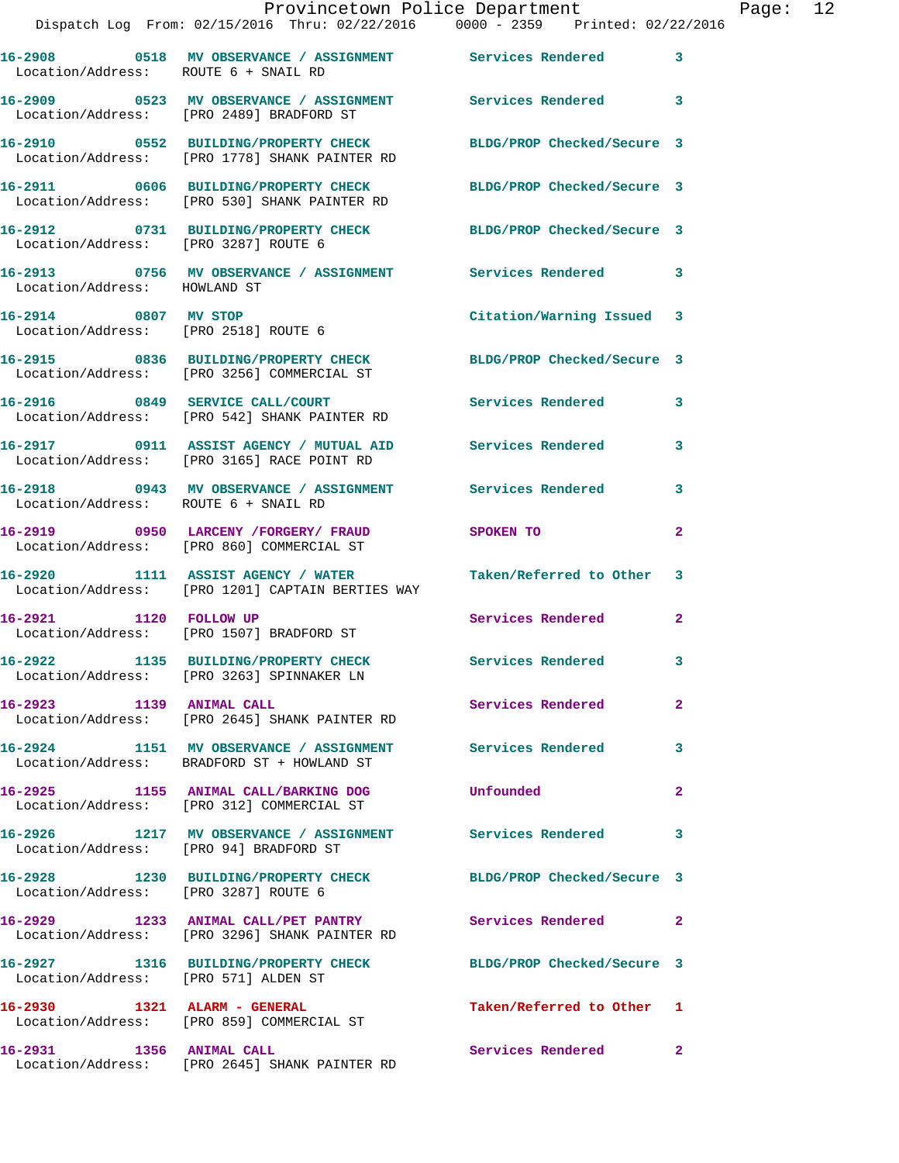|                                        | Provincetown Police Department<br>Dispatch Log From: 02/15/2016 Thru: 02/22/2016                0000 - 2359    Printed: 02/22/2016 |                           |              | Page: 12 |  |
|----------------------------------------|------------------------------------------------------------------------------------------------------------------------------------|---------------------------|--------------|----------|--|
| Location/Address: ROUTE 6 + SNAIL RD   | 16-2908 0518 MV OBSERVANCE / ASSIGNMENT Services Rendered 3                                                                        |                           |              |          |  |
|                                        | 16-2909 0523 MV OBSERVANCE / ASSIGNMENT Services Rendered 3<br>Location/Address: [PRO 2489] BRADFORD ST                            |                           |              |          |  |
|                                        | 16-2910 0552 BUILDING/PROPERTY CHECK BLDG/PROP Checked/Secure 3<br>Location/Address: [PRO 1778] SHANK PAINTER RD                   |                           |              |          |  |
|                                        | 16-2911 0606 BUILDING/PROPERTY CHECK BLDG/PROP Checked/Secure 3<br>Location/Address: [PRO 530] SHANK PAINTER RD                    |                           |              |          |  |
| Location/Address: [PRO 3287] ROUTE 6   | 16-2912 0731 BUILDING/PROPERTY CHECK BLDG/PROP Checked/Secure 3                                                                    |                           |              |          |  |
| Location/Address: HOWLAND ST           | 16-2913 0756 MV OBSERVANCE / ASSIGNMENT Services Rendered 3                                                                        |                           |              |          |  |
| Location/Address: [PRO 2518] ROUTE 6   | 16-2914 0807 MV STOP                                                                                                               | Citation/Warning Issued 3 |              |          |  |
|                                        | 16-2915 0836 BUILDING/PROPERTY CHECK BLDG/PROP Checked/Secure 3<br>Location/Address: [PRO 3256] COMMERCIAL ST                      |                           |              |          |  |
|                                        | 16-2916 0849 SERVICE CALL/COURT Services Rendered 3<br>Location/Address: [PRO 542] SHANK PAINTER RD                                |                           |              |          |  |
|                                        | 16-2917 0911 ASSIST AGENCY / MUTUAL AID Services Rendered 3<br>Location/Address: [PRO 3165] RACE POINT RD                          |                           |              |          |  |
| Location/Address: ROUTE 6 + SNAIL RD   | 16-2918 0943 MV OBSERVANCE / ASSIGNMENT Services Rendered 3                                                                        |                           |              |          |  |
|                                        | 16-2919 0950 LARCENY /FORGERY / FRAUD SPOKEN TO<br>Location/Address: [PRO 860] COMMERCIAL ST                                       |                           | $\mathbf{2}$ |          |  |
|                                        | 16-2920 1111 ASSIST AGENCY / WATER Taken/Referred to Other 3<br>Location/Address: [PRO 1201] CAPTAIN BERTIES WAY                   |                           |              |          |  |
|                                        | 16-2921 1120 FOLLOW UP<br>Location/Address: [PRO 1507] BRADFORD ST                                                                 | Services Rendered         | $\mathbf{2}$ |          |  |
|                                        | 16-2922 1135 BUILDING/PROPERTY CHECK<br>Location/Address: [PRO 3263] SPINNAKER LN                                                  | <b>Services Rendered</b>  | 3            |          |  |
| 16-2923 1139 ANIMAL CALL               | Location/Address: [PRO 2645] SHANK PAINTER RD                                                                                      | Services Rendered 2       |              |          |  |
|                                        | 16-2924 1151 MV OBSERVANCE / ASSIGNMENT Services Rendered<br>Location/Address: BRADFORD ST + HOWLAND ST                            |                           | 3            |          |  |
|                                        | 16-2925 1155 ANIMAL CALL/BARKING DOG Unfounded<br>Location/Address: [PRO 312] COMMERCIAL ST                                        |                           | $\mathbf{2}$ |          |  |
| Location/Address: [PRO 94] BRADFORD ST | 16-2926 1217 MV OBSERVANCE / ASSIGNMENT Services Rendered                                                                          |                           | 3            |          |  |
| Location/Address: [PRO 3287] ROUTE 6   | 16-2928 1230 BUILDING/PROPERTY CHECK BLDG/PROP Checked/Secure 3                                                                    |                           |              |          |  |
|                                        | 16-2929 1233 ANIMAL CALL/PET PANTRY Services Rendered 2<br>Location/Address: [PRO 3296] SHANK PAINTER RD                           |                           |              |          |  |
| Location/Address: [PRO 571] ALDEN ST   | 16-2927 1316 BUILDING/PROPERTY CHECK BLDG/PROP Checked/Secure 3                                                                    |                           |              |          |  |
|                                        | 16-2930 1321 ALARM - GENERAL<br>Location/Address: [PRO 859] COMMERCIAL ST                                                          | Taken/Referred to Other 1 |              |          |  |

**16-2931 1356 ANIMAL CALL Services Rendered 2** 

Location/Address: [PRO 2645] SHANK PAINTER RD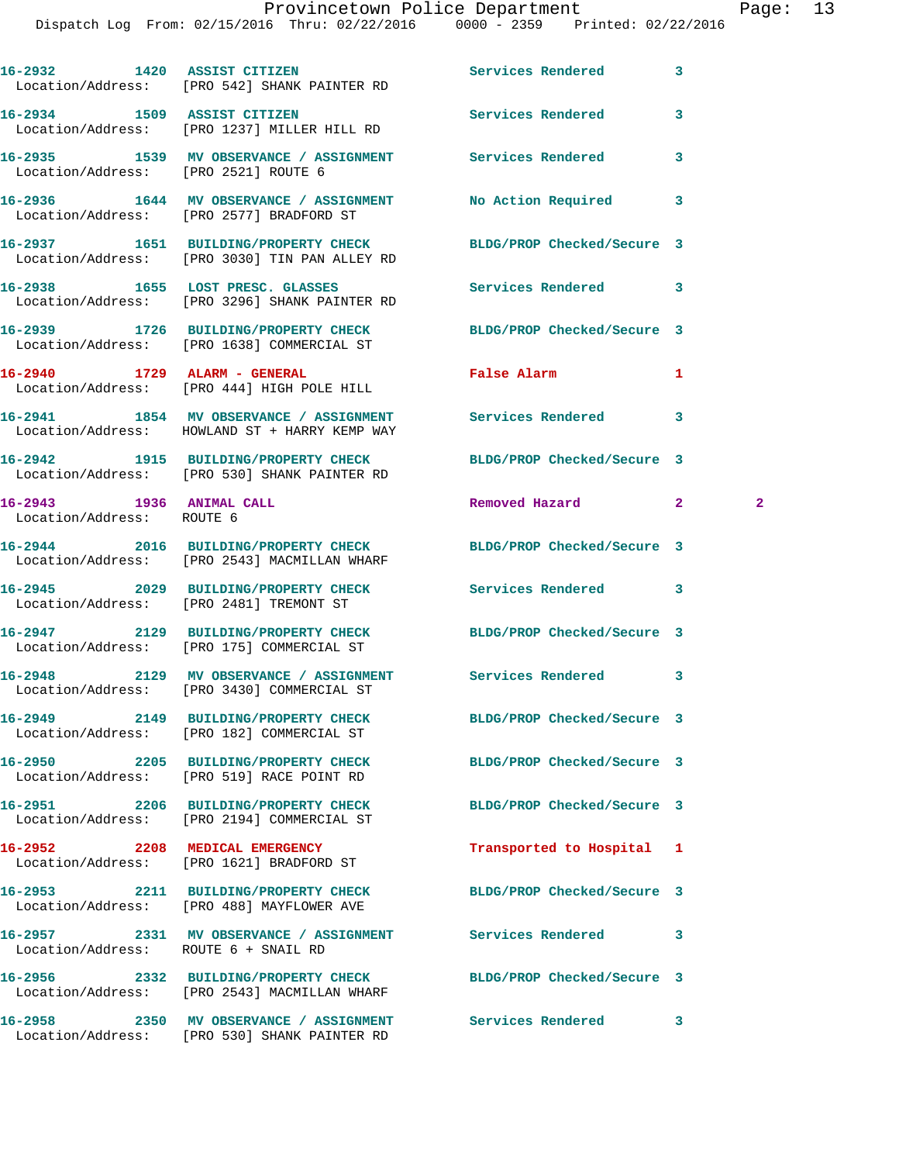|                                                       | 16-2932 1420 ASSIST CITIZEN<br>Location/Address: [PRO 542] SHANK PAINTER RD                                | Services Rendered          | 3                            |
|-------------------------------------------------------|------------------------------------------------------------------------------------------------------------|----------------------------|------------------------------|
|                                                       | 16-2934 1509 ASSIST CITIZEN<br>Location/Address: [PRO 1237] MILLER HILL RD                                 | Services Rendered          | 3                            |
| Location/Address: [PRO 2521] ROUTE 6                  | 16-2935 1539 MV OBSERVANCE / ASSIGNMENT Services Rendered                                                  |                            | 3                            |
|                                                       | 16-2936 1644 MV OBSERVANCE / ASSIGNMENT<br>Location/Address: [PRO 2577] BRADFORD ST                        | No Action Required         | 3                            |
|                                                       | 16-2937 1651 BUILDING/PROPERTY CHECK<br>Location/Address: [PRO 3030] TIN PAN ALLEY RD                      | BLDG/PROP Checked/Secure 3 |                              |
|                                                       | 16-2938 1655 LOST PRESC. GLASSES<br>Location/Address: [PRO 3296] SHANK PAINTER RD                          | Services Rendered          | 3                            |
|                                                       | 16-2939 1726 BUILDING/PROPERTY CHECK<br>Location/Address: [PRO 1638] COMMERCIAL ST                         | BLDG/PROP Checked/Secure 3 |                              |
|                                                       | 16-2940 1729 ALARM - GENERAL<br>Location/Address: [PRO 444] HIGH POLE HILL                                 | <b>False Alarm</b>         | 1                            |
|                                                       | 16-2941 1854 MV OBSERVANCE / ASSIGNMENT Services Rendered<br>Location/Address: HOWLAND ST + HARRY KEMP WAY |                            | 3                            |
|                                                       | 16-2942 1915 BUILDING/PROPERTY CHECK<br>Location/Address: [PRO 530] SHANK PAINTER RD                       | BLDG/PROP Checked/Secure 3 |                              |
| 16-2943 1936 ANIMAL CALL<br>Location/Address: ROUTE 6 |                                                                                                            | Removed Hazard             | $\mathbf{2}$<br>$\mathbf{2}$ |
|                                                       | 16-2944 2016 BUILDING/PROPERTY CHECK<br>Location/Address: [PRO 2543] MACMILLAN WHARF                       | BLDG/PROP Checked/Secure 3 |                              |
|                                                       | 16-2945 2029 BUILDING/PROPERTY CHECK<br>Location/Address: [PRO 2481] TREMONT ST                            | Services Rendered          | 3                            |
|                                                       | 16-2947 2129 BUILDING/PROPERTY CHECK<br>Location/Address: [PRO 175] COMMERCIAL ST                          | BLDG/PROP Checked/Secure 3 |                              |
|                                                       | 16-2948 2129 MV OBSERVANCE / ASSIGNMENT Services Rendered<br>Location/Address: [PRO 3430] COMMERCIAL ST    |                            | 3                            |
|                                                       | 16-2949 2149 BUILDING/PROPERTY CHECK<br>Location/Address: [PRO 182] COMMERCIAL ST                          | BLDG/PROP Checked/Secure 3 |                              |
|                                                       | 16-2950 2205 BUILDING/PROPERTY CHECK<br>Location/Address: [PRO 519] RACE POINT RD                          | BLDG/PROP Checked/Secure 3 |                              |
|                                                       | 16-2951 2206 BUILDING/PROPERTY CHECK<br>Location/Address: [PRO 2194] COMMERCIAL ST                         | BLDG/PROP Checked/Secure 3 |                              |
| 16-2952 2208 MEDICAL EMERGENCY                        | Location/Address: [PRO 1621] BRADFORD ST                                                                   | Transported to Hospital 1  |                              |
|                                                       | 16-2953 2211 BUILDING/PROPERTY CHECK<br>Location/Address: [PRO 488] MAYFLOWER AVE                          | BLDG/PROP Checked/Secure 3 |                              |
| Location/Address: ROUTE 6 + SNAIL RD                  | 16-2957 2331 MV OBSERVANCE / ASSIGNMENT Services Rendered                                                  |                            | 3                            |
|                                                       | 16-2956 2332 BUILDING/PROPERTY CHECK<br>Location/Address: [PRO 2543] MACMILLAN WHARF                       | BLDG/PROP Checked/Secure 3 |                              |
|                                                       | 16-2958 2350 MV OBSERVANCE / ASSIGNMENT Services Rendered<br>Location/Address: [PRO 530] SHANK PAINTER RD  |                            | 3                            |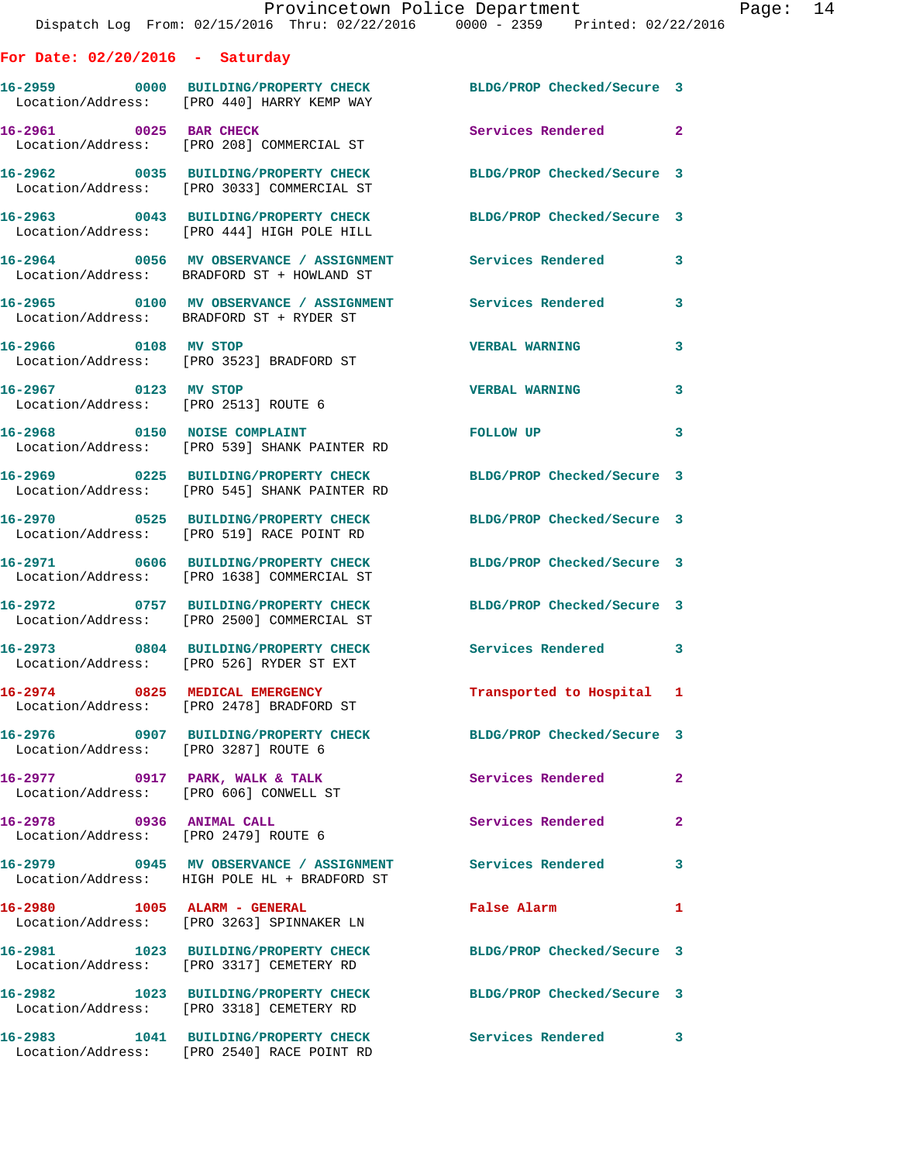|                                                                  | Provincetown Police Department                                                                                |                            |                |
|------------------------------------------------------------------|---------------------------------------------------------------------------------------------------------------|----------------------------|----------------|
|                                                                  | Dispatch Log From: 02/15/2016 Thru: 02/22/2016 0000 - 2359 Printed: 02/22/2016                                |                            |                |
| For Date: $02/20/2016$ - Saturday                                |                                                                                                               |                            |                |
|                                                                  | 16-2959 0000 BUILDING/PROPERTY CHECK BLDG/PROP Checked/Secure 3<br>Location/Address: [PRO 440] HARRY KEMP WAY |                            |                |
| 16-2961 0025 BAR CHECK                                           | Location/Address: [PRO 208] COMMERCIAL ST                                                                     | Services Rendered          | $\overline{2}$ |
|                                                                  | 16-2962 0035 BUILDING/PROPERTY CHECK<br>Location/Address: [PRO 3033] COMMERCIAL ST                            | BLDG/PROP Checked/Secure 3 |                |
|                                                                  | 16-2963 0043 BUILDING/PROPERTY CHECK<br>Location/Address: [PRO 444] HIGH POLE HILL                            | BLDG/PROP Checked/Secure 3 |                |
|                                                                  | 16-2964 0056 MV OBSERVANCE / ASSIGNMENT Services Rendered<br>Location/Address: BRADFORD ST + HOWLAND ST       |                            | 3              |
|                                                                  | 16-2965   0100 MV OBSERVANCE / ASSIGNMENT   Services Rendered<br>Location/Address: BRADFORD ST + RYDER ST     |                            | 3              |
| 16-2966 0108 MV STOP                                             | Location/Address: [PRO 3523] BRADFORD ST                                                                      | <b>VERBAL WARNING</b>      | 3              |
| 16-2967 0123 MV STOP<br>Location/Address: [PRO 2513] ROUTE 6     |                                                                                                               | <b>VERBAL WARNING</b>      | 3              |
|                                                                  | 16-2968 0150 NOISE COMPLAINT<br>Location/Address: [PRO 539] SHANK PAINTER RD                                  | FOLLOW UP                  | 3              |
|                                                                  | 16-2969 0225 BUILDING/PROPERTY CHECK<br>Location/Address: [PRO 545] SHANK PAINTER RD                          | BLDG/PROP Checked/Secure 3 |                |
|                                                                  | 16-2970 0525 BUILDING/PROPERTY CHECK<br>Location/Address: [PRO 519] RACE POINT RD                             | BLDG/PROP Checked/Secure 3 |                |
|                                                                  | 16-2971 0606 BUILDING/PROPERTY CHECK<br>Location/Address: [PRO 1638] COMMERCIAL ST                            | BLDG/PROP Checked/Secure 3 |                |
|                                                                  | 16-2972 0757 BUILDING/PROPERTY CHECK<br>Location/Address: [PRO 2500] COMMERCIAL ST                            | BLDG/PROP Checked/Secure 3 |                |
|                                                                  | 16-2973 0804 BUILDING/PROPERTY CHECK<br>Location/Address: [PRO 526] RYDER ST EXT                              | Services Rendered 3        |                |
|                                                                  | 16-2974 0825 MEDICAL EMERGENCY<br>Location/Address: [PRO 2478] BRADFORD ST                                    | Transported to Hospital 1  |                |
| Location/Address: [PRO 3287] ROUTE 6                             | 16-2976 0907 BUILDING/PROPERTY CHECK                                                                          | BLDG/PROP Checked/Secure 3 |                |
| Location/Address: [PRO 606] CONWELL ST                           | 16-2977 0917 PARK, WALK & TALK                                                                                | Services Rendered          | 2              |
| 16-2978 0936 ANIMAL CALL<br>Location/Address: [PRO 2479] ROUTE 6 |                                                                                                               | Services Rendered          | $\mathbf{2}$   |
|                                                                  | 16-2979 0945 MV OBSERVANCE / ASSIGNMENT Services Rendered<br>Location/Address: HIGH POLE HL + BRADFORD ST     |                            | 3              |
| 16-2980 1005 ALARM - GENERAL                                     | Location/Address: [PRO 3263] SPINNAKER LN                                                                     | False Alarm                | 1              |
|                                                                  | 16-2981 1023 BUILDING/PROPERTY CHECK<br>Location/Address: [PRO 3317] CEMETERY RD                              | BLDG/PROP Checked/Secure 3 |                |
|                                                                  | 16-2982 1023 BUILDING/PROPERTY CHECK<br>Location/Address: [PRO 3318] CEMETERY RD                              | BLDG/PROP Checked/Secure 3 |                |
|                                                                  | 16-2983 1041 BUILDING/PROPERTY CHECK<br>Location/Address: [PRO 2540] RACE POINT RD                            | Services Rendered 3        |                |

Page: 14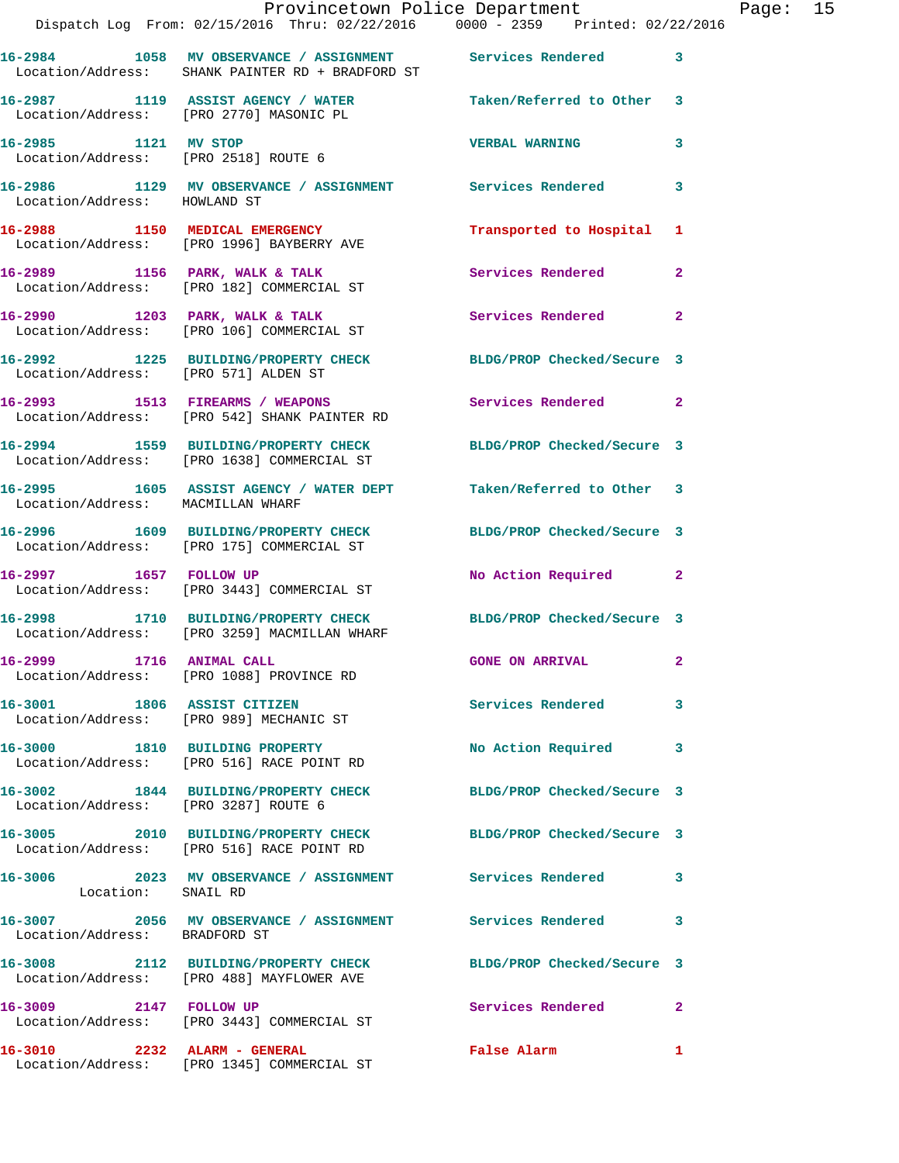|                                      | Dispatch Log From: 02/15/2016 Thru: 02/22/2016 0000 - 2359 Printed: 02/22/2016                                  | Provincetown Police Department Page: 15                                                                        |              |  |
|--------------------------------------|-----------------------------------------------------------------------------------------------------------------|----------------------------------------------------------------------------------------------------------------|--------------|--|
|                                      | 16-2984 1058 MV OBSERVANCE / ASSIGNMENT Services Rendered 3<br>Location/Address: SHANK PAINTER RD + BRADFORD ST |                                                                                                                |              |  |
|                                      | 16-2987 1119 ASSIST AGENCY / WATER Taken/Referred to Other 3<br>Location/Address: [PRO 2770] MASONIC PL         |                                                                                                                |              |  |
|                                      | 16-2985 1121 MV STOP<br>Location/Address: [PRO 2518] ROUTE 6                                                    | <b>VERBAL WARNING</b>                                                                                          | 3            |  |
| Location/Address: HOWLAND ST         | 16-2986 1129 MV OBSERVANCE / ASSIGNMENT Services Rendered                                                       |                                                                                                                | 3            |  |
|                                      | 16-2988 1150 MEDICAL EMERGENCY<br>Location/Address: [PRO 1996] BAYBERRY AVE                                     | Transported to Hospital 1                                                                                      |              |  |
|                                      | 16-2989 1156 PARK, WALK & TALK<br>Location/Address: [PRO 182] COMMERCIAL ST                                     | Services Rendered                                                                                              | $\mathbf{2}$ |  |
|                                      | 16-2990 1203 PARK, WALK & TALK<br>Location/Address: [PRO 106] COMMERCIAL ST                                     | Services Rendered                                                                                              | $\mathbf{2}$ |  |
|                                      | 16-2992 1225 BUILDING/PROPERTY CHECK BLDG/PROP Checked/Secure 3<br>Location/Address: [PRO 571] ALDEN ST         |                                                                                                                |              |  |
|                                      | 16-2993 1513 FIREARMS / WEAPONS<br>Location/Address: [PRO 542] SHANK PAINTER RD                                 | Services Rendered 2                                                                                            |              |  |
|                                      | 16-2994 1559 BUILDING/PROPERTY CHECK BLDG/PROP Checked/Secure 3<br>Location/Address: [PRO 1638] COMMERCIAL ST   |                                                                                                                |              |  |
| Location/Address: MACMILLAN WHARF    | 16-2995 1605 ASSIST AGENCY / WATER DEPT Taken/Referred to Other 3                                               |                                                                                                                |              |  |
|                                      | 16-2996 1609 BUILDING/PROPERTY CHECK BLDG/PROP Checked/Secure 3<br>Location/Address: [PRO 175] COMMERCIAL ST    |                                                                                                                |              |  |
| 16-2997 1657 FOLLOW UP               | Location/Address: [PRO 3443] COMMERCIAL ST                                                                      | No Action Required 2                                                                                           |              |  |
|                                      | 16-2998 1710 BUILDING/PROPERTY CHECK BLDG/PROP Checked/Secure 3<br>Location/Address: [PRO 3259] MACMILLAN WHARF |                                                                                                                |              |  |
|                                      | 16-2999 1716 ANIMAL CALL<br>Location/Address: [PRO 1088] PROVINCE RD                                            | <b>GONE ON ARRIVAL</b>                                                                                         |              |  |
|                                      | 16-3001 1806 ASSIST CITIZEN<br>Location/Address: [PRO 989] MECHANIC ST                                          | <b>Services Rendered</b>                                                                                       | 3            |  |
|                                      | 16-3000 1810 BUILDING PROPERTY<br>Location/Address: [PRO 516] RACE POINT RD                                     | No Action Required                                                                                             | 3            |  |
| Location/Address: [PRO 3287] ROUTE 6 | 16-3002 1844 BUILDING/PROPERTY CHECK BLDG/PROP Checked/Secure 3                                                 |                                                                                                                |              |  |
|                                      | 16-3005 2010 BUILDING/PROPERTY CHECK BLDG/PROP Checked/Secure 3<br>Location/Address: [PRO 516] RACE POINT RD    |                                                                                                                |              |  |
| Location: SNAIL RD                   | 16-3006 2023 MV OBSERVANCE / ASSIGNMENT Services Rendered                                                       |                                                                                                                | 3            |  |
| Location/Address: BRADFORD ST        | 16-3007 2056 MV OBSERVANCE / ASSIGNMENT Services Rendered                                                       |                                                                                                                | 3            |  |
|                                      | 16-3008 2112 BUILDING/PROPERTY CHECK<br>Location/Address: [PRO 488] MAYFLOWER AVE                               | BLDG/PROP Checked/Secure 3                                                                                     |              |  |
| 16-3009 2147 FOLLOW UP               | Location/Address: [PRO 3443] COMMERCIAL ST                                                                      | Services Rendered                                                                                              | 2            |  |
| 16-3010 2232 ALARM - GENERAL         |                                                                                                                 | False Alarm and the state of the state of the state of the state of the state of the state of the state of the | 1            |  |

Location/Address: [PRO 1345] COMMERCIAL ST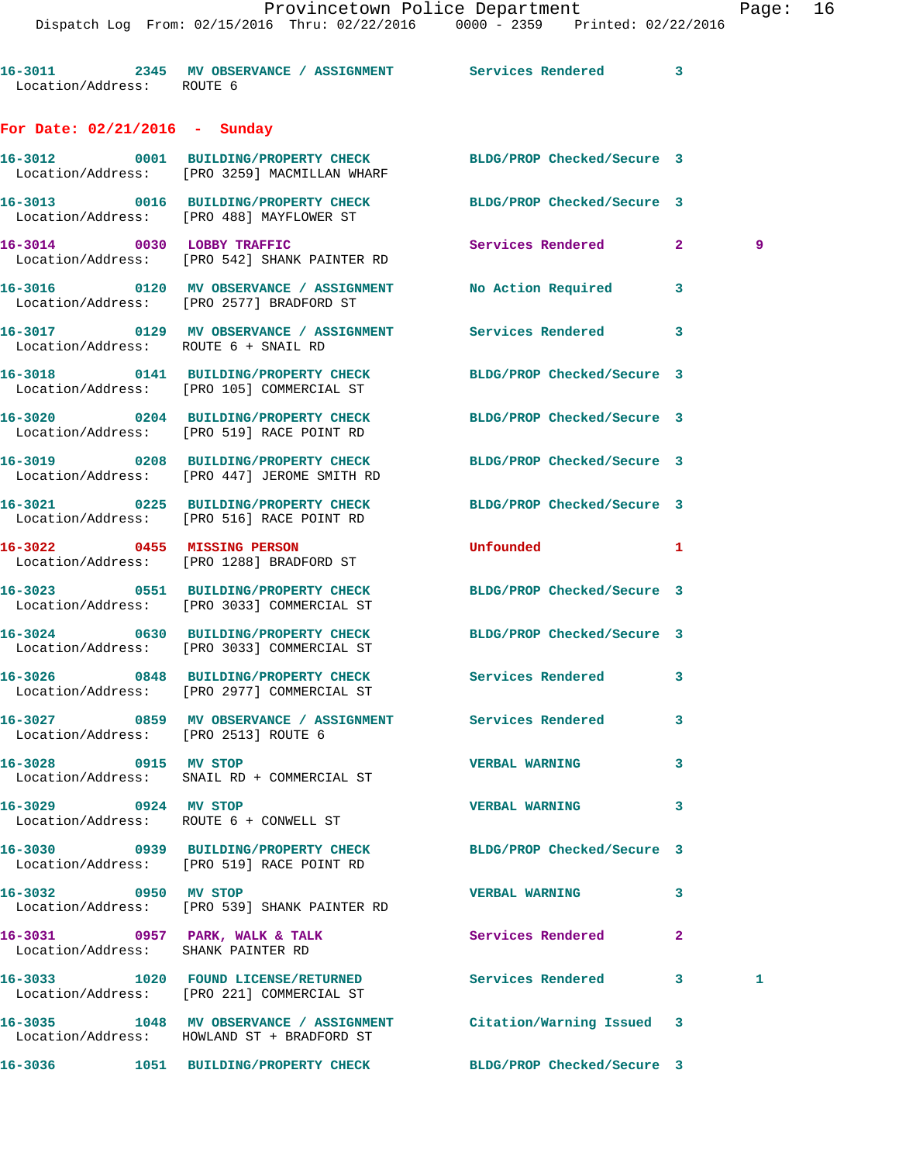Dispatch Log From: 02/15/2016 Thru: 02/22/2016 0000 - 2359 Printed: 02/22/2016

**16-3011 2345 MV OBSERVANCE / ASSIGNMENT Services Rendered 3**  Location/Address: ROUTE 6 **For Date: 02/21/2016 - Sunday**

**16-3012 0001 BUILDING/PROPERTY CHECK BLDG/PROP Checked/Secure 3**  Location/Address: [PRO 3259] MACMILLAN WHARF **16-3013 0016 BUILDING/PROPERTY CHECK BLDG/PROP Checked/Secure 3**  Location/Address: [PRO 488] MAYFLOWER ST **16-3014 0030 LOBBY TRAFFIC Services Rendered 2 9**  Location/Address: [PRO 542] SHANK PAINTER RD

**16-3016 0120 MV OBSERVANCE / ASSIGNMENT No Action Required 3**  Location/Address: [PRO 2577] BRADFORD ST

**16-3017 0129 MV OBSERVANCE / ASSIGNMENT Services Rendered 3**  Location/Address: ROUTE 6 + SNAIL RD

**16-3018 0141 BUILDING/PROPERTY CHECK BLDG/PROP Checked/Secure 3**  Location/Address: [PRO 105] COMMERCIAL ST

**16-3020 0204 BUILDING/PROPERTY CHECK BLDG/PROP Checked/Secure 3**  Location/Address: [PRO 519] RACE POINT RD

Location/Address: [PRO 447] JEROME SMITH RD

Location/Address: [PRO 516] RACE POINT RD

Location/Address: [PRO 1288] BRADFORD ST

Location/Address: [PRO 3033] COMMERCIAL ST

Location/Address: [PRO 3033] COMMERCIAL ST

**16-3026 0848 BUILDING/PROPERTY CHECK Services Rendered 3**  Location/Address: [PRO 2977] COMMERCIAL ST

**16-3027 0859 MV OBSERVANCE / ASSIGNMENT Services Rendered 3**  Location/Address: [PRO 2513] ROUTE 6

Location/Address: SNAIL RD + COMMERCIAL ST

16-3031 0957 PARK, WALK & TALK **Services Rendered** 2 Location/Address: SHANK PAINTER RD

**16-3035 1048 MV OBSERVANCE / ASSIGNMENT Citation/Warning Issued 3**  Location/Address: HOWLAND ST + BRADFORD ST

**16-3029 0924 MV STOP VERBAL WARNING 3**  Location/Address: ROUTE 6 + CONWELL ST Location/Address: [PRO 519] RACE POINT RD

Location/Address: [PRO 539] SHANK PAINTER RD

**16-3033 1020 FOUND LICENSE/RETURNED Services Rendered 3 1**  Location/Address: [PRO 221] COMMERCIAL ST

**16-3019 0208 BUILDING/PROPERTY CHECK BLDG/PROP Checked/Secure 3** 

**16-3021 0225 BUILDING/PROPERTY CHECK BLDG/PROP Checked/Secure 3** 

**16-3022 0455 MISSING PERSON Unfounded 1** 

**16-3023 0551 BUILDING/PROPERTY CHECK BLDG/PROP Checked/Secure 3** 

**16-3024 0630 BUILDING/PROPERTY CHECK BLDG/PROP Checked/Secure 3** 

**16-3028 0915 MV STOP VERBAL WARNING 3** 

**16-3030 0939 BUILDING/PROPERTY CHECK BLDG/PROP Checked/Secure 3** 

**16-3032 0950 MV STOP VERBAL WARNING 3** 

**16-3036 1051 BUILDING/PROPERTY CHECK BLDG/PROP Checked/Secure 3**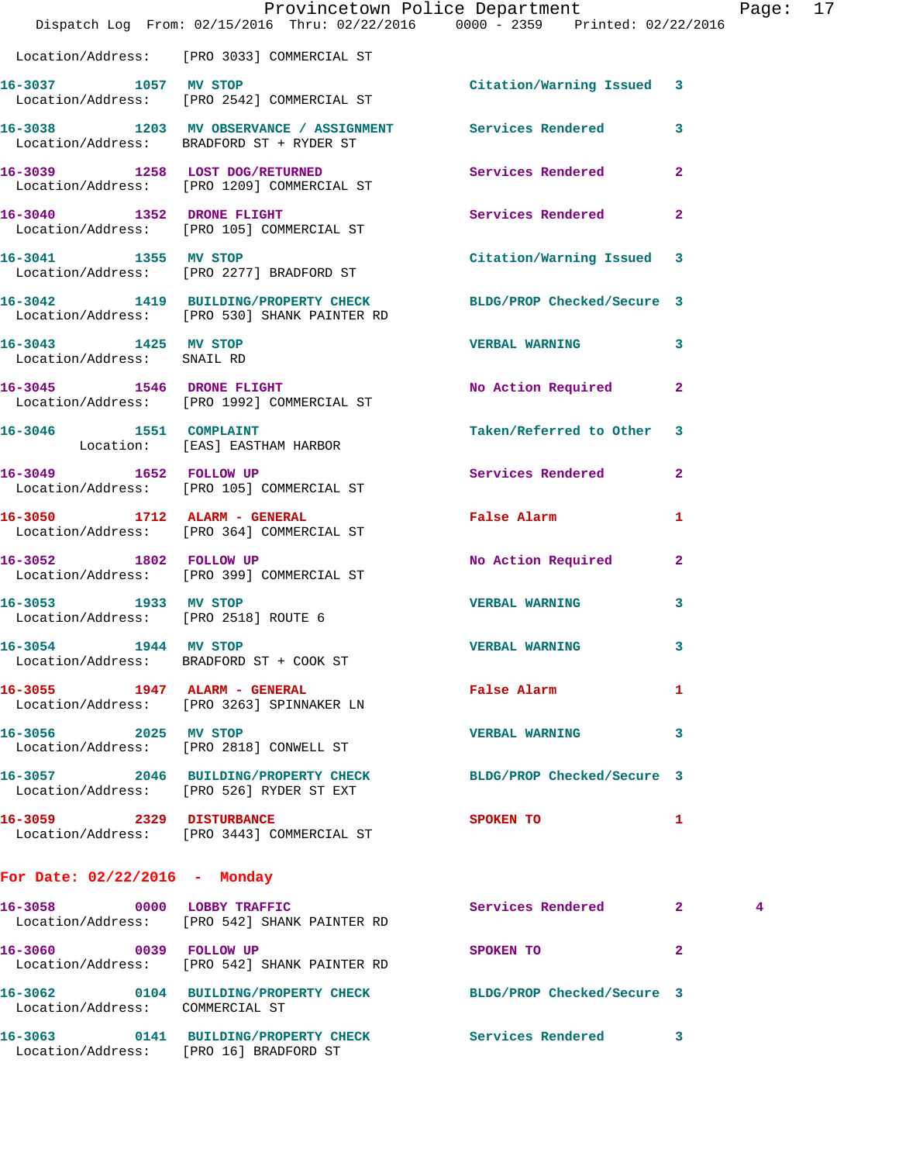|                                                              | Dispatch Log From: 02/15/2016 Thru: 02/22/2016 0000 - 2359 Printed: 02/22/2016                                  | Provincetown Police Department The Rage: 17 |              |  |
|--------------------------------------------------------------|-----------------------------------------------------------------------------------------------------------------|---------------------------------------------|--------------|--|
|                                                              | Location/Address: [PRO 3033] COMMERCIAL ST                                                                      |                                             |              |  |
|                                                              | 16-3037 1057 MV STOP<br>Location/Address: [PRO 2542] COMMERCIAL ST                                              | Citation/Warning Issued 3                   |              |  |
|                                                              | 16-3038 1203 MV OBSERVANCE / ASSIGNMENT Services Rendered 3<br>Location/Address: BRADFORD ST + RYDER ST         |                                             |              |  |
|                                                              | 16-3039 1258 LOST DOG/RETURNED<br>Location/Address: [PRO 1209] COMMERCIAL ST                                    | Services Rendered                           | $\mathbf{2}$ |  |
|                                                              | 16-3040 1352 DRONE FLIGHT<br>Location/Address: [PRO 105] COMMERCIAL ST                                          | Services Rendered                           | $\mathbf{2}$ |  |
|                                                              | 16-3041 1355 MV STOP<br>Location/Address: [PRO 2277] BRADFORD ST                                                | Citation/Warning Issued 3                   |              |  |
|                                                              | 16-3042 1419 BUILDING/PROPERTY CHECK BLDG/PROP Checked/Secure 3<br>Location/Address: [PRO 530] SHANK PAINTER RD |                                             |              |  |
| 16-3043 1425 MV STOP<br>Location/Address: SNAIL RD           |                                                                                                                 | <b>VERBAL WARNING</b>                       | 3            |  |
|                                                              | 16-3045 1546 DRONE FLIGHT<br>Location/Address: [PRO 1992] COMMERCIAL ST                                         | No Action Required                          | $\mathbf{2}$ |  |
|                                                              | 16-3046 1551 COMPLAINT<br>Location: [EAS] EASTHAM HARBOR                                                        | Taken/Referred to Other 3                   |              |  |
|                                                              | 16-3049 1652 FOLLOW UP<br>Location/Address: [PRO 105] COMMERCIAL ST                                             | Services Rendered                           | $\mathbf{2}$ |  |
|                                                              | 16-3050 1712 ALARM - GENERAL<br>Location/Address: [PRO 364] COMMERCIAL ST                                       | False Alarm 1                               |              |  |
|                                                              | 16-3052 1802 FOLLOW UP<br>Location/Address: [PRO 399] COMMERCIAL ST                                             | No Action Required                          | $\mathbf{2}$ |  |
| 16-3053 1933 MV STOP<br>Location/Address: [PRO 2518] ROUTE 6 |                                                                                                                 | <b>VERBAL WARNING</b>                       | 3            |  |
| 1944 MV STOP<br>16-3054                                      | Location/Address: BRADFORD ST + COOK ST                                                                         | <b>VERBAL WARNING</b>                       | 3            |  |
| 16-3055 1947 ALARM - GENERAL                                 | Location/Address: [PRO 3263] SPINNAKER LN                                                                       | False Alarm                                 | 1            |  |
| 16-3056 2025 MV STOP                                         | Location/Address: [PRO 2818] CONWELL ST                                                                         | <b>VERBAL WARNING</b>                       | 3            |  |
|                                                              | 16-3057 2046 BUILDING/PROPERTY CHECK<br>Location/Address: [PRO 526] RYDER ST EXT                                | BLDG/PROP Checked/Secure 3                  |              |  |
| 16-3059 2329 DISTURBANCE                                     | Location/Address: [PRO 3443] COMMERCIAL ST                                                                      | SPOKEN TO                                   | 1            |  |
| For Date: $02/22/2016$ - Monday                              |                                                                                                                 |                                             |              |  |

| 16-3058                                    | 0000 | LOBBY TRAFFIC<br>Location/Address: [PRO 542] SHANK PAINTER RD    | Services Rendered          | $\mathbf{2}$ | 4 |
|--------------------------------------------|------|------------------------------------------------------------------|----------------------------|--------------|---|
| 16-3060                                    | 0039 | <b>FOLLOW UP</b><br>Location/Address: [PRO 542] SHANK PAINTER RD | SPOKEN TO                  | $\mathbf{2}$ |   |
| 16–3062<br>Location/Address: COMMERCIAL ST | 0104 | <b>BUILDING/PROPERTY CHECK</b>                                   | BLDG/PROP Checked/Secure 3 |              |   |
| 16–3063<br>Location/Address:               | 0141 | <b>BUILDING/PROPERTY CHECK</b><br>[PRO 16] BRADFORD ST           | Services Rendered          | 3            |   |